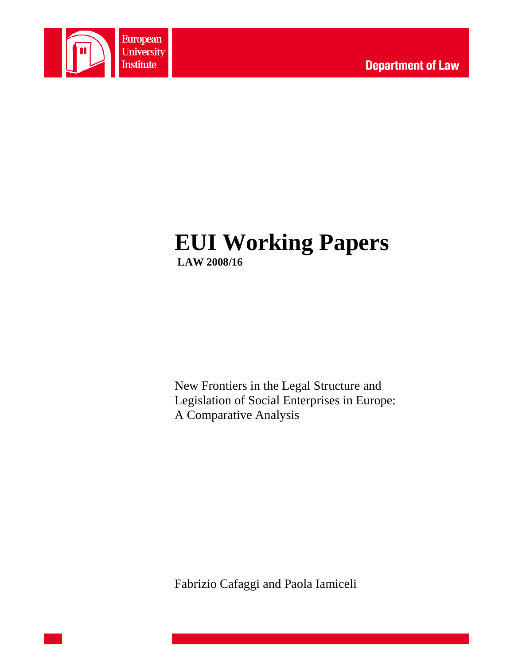

# **EUI Working Papers LAW 2008/16**

New Frontiers in the Legal Structure and Legislation of Social Enterprises in Europe: A Comparative Analysis

Fabrizio Cafaggi and Paola Iamiceli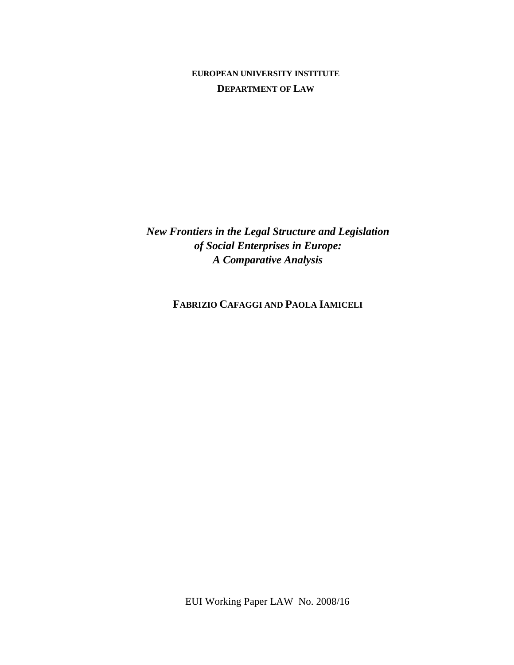# **EUROPEAN UNIVERSITY INSTITUTE DEPARTMENT OF LAW**

*New Frontiers in the Legal Structure and Legislation of Social Enterprises in Europe: A Comparative Analysis* 

**FABRIZIO CAFAGGI AND PAOLA IAMICELI**

EUI Working Paper LAW No. 2008/16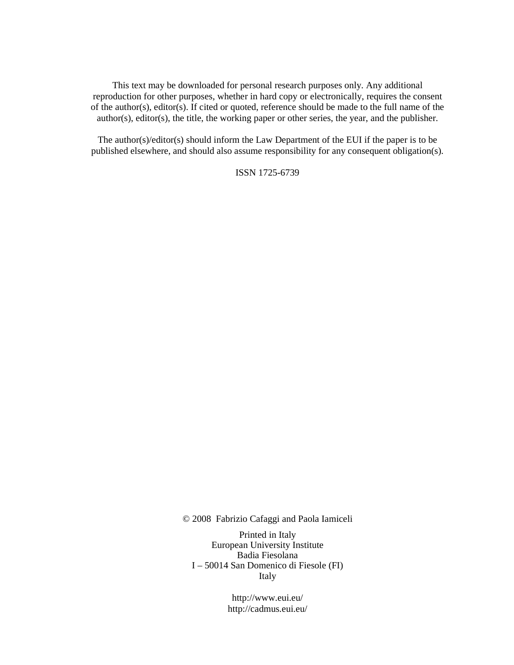This text may be downloaded for personal research purposes only. Any additional reproduction for other purposes, whether in hard copy or electronically, requires the consent of the author(s), editor(s). If cited or quoted, reference should be made to the full name of the author(s), editor(s), the title, the working paper or other series, the year, and the publisher.

The author(s)/editor(s) should inform the Law Department of the EUI if the paper is to be published elsewhere, and should also assume responsibility for any consequent obligation(s).

ISSN 1725-6739

© 2008 Fabrizio Cafaggi and Paola Iamiceli

Printed in Italy European University Institute Badia Fiesolana I – 50014 San Domenico di Fiesole (FI) Italy

> http://www.eui.eu/ http://cadmus.eui.eu/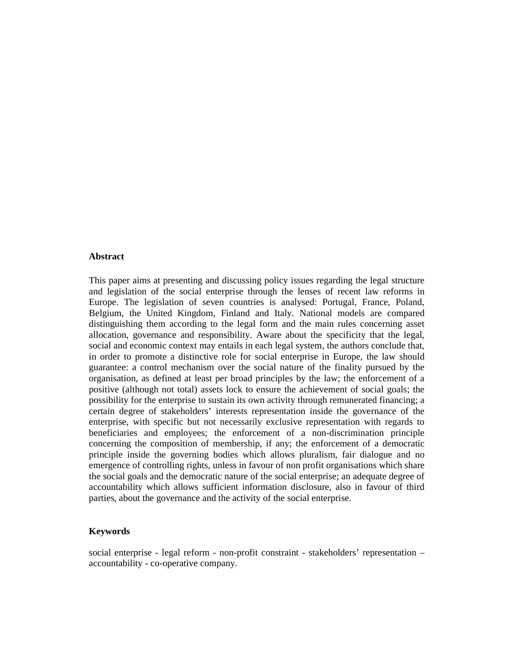#### **Abstract**

This paper aims at presenting and discussing policy issues regarding the legal structure and legislation of the social enterprise through the lenses of recent law reforms in Europe. The legislation of seven countries is analysed: Portugal, France, Poland, Belgium, the United Kingdom, Finland and Italy. National models are compared distinguishing them according to the legal form and the main rules concerning asset allocation, governance and responsibility. Aware about the specificity that the legal, social and economic context may entails in each legal system, the authors conclude that, in order to promote a distinctive role for social enterprise in Europe, the law should guarantee: a control mechanism over the social nature of the finality pursued by the organisation, as defined at least per broad principles by the law; the enforcement of a positive (although not total) assets lock to ensure the achievement of social goals; the possibility for the enterprise to sustain its own activity through remunerated financing; a certain degree of stakeholders' interests representation inside the governance of the enterprise, with specific but not necessarily exclusive representation with regards to beneficiaries and employees; the enforcement of a non-discrimination principle concerning the composition of membership, if any; the enforcement of a democratic principle inside the governing bodies which allows pluralism, fair dialogue and no emergence of controlling rights, unless in favour of non profit organisations which share the social goals and the democratic nature of the social enterprise; an adequate degree of accountability which allows sufficient information disclosure, also in favour of third parties, about the governance and the activity of the social enterprise.

#### **Keywords**

social enterprise - legal reform - non-profit constraint - stakeholders' representation – accountability - co-operative company.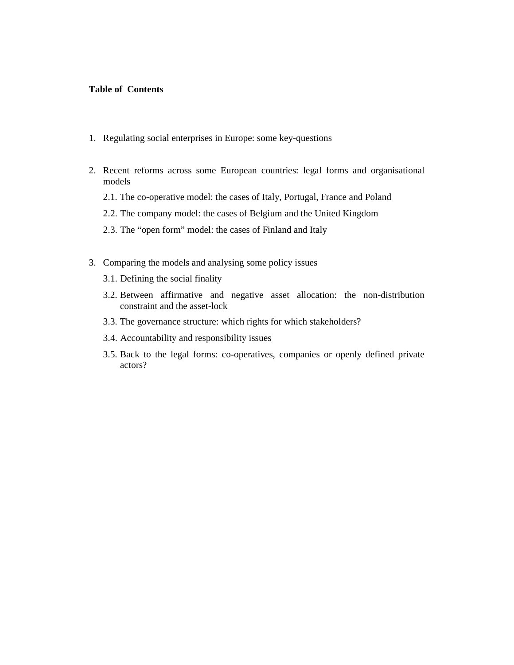#### **Table of Contents**

- 1. Regulating social enterprises in Europe: some key-questions
- 2. Recent reforms across some European countries: legal forms and organisational models
	- 2.1. The co-operative model: the cases of Italy, Portugal, France and Poland
	- 2.2. The company model: the cases of Belgium and the United Kingdom
	- 2.3. The "open form" model: the cases of Finland and Italy
- 3. Comparing the models and analysing some policy issues
	- 3.1. Defining the social finality
	- 3.2. Between affirmative and negative asset allocation: the non-distribution constraint and the asset-lock
	- 3.3. The governance structure: which rights for which stakeholders?
	- 3.4. Accountability and responsibility issues
	- 3.5. Back to the legal forms: co-operatives, companies or openly defined private actors?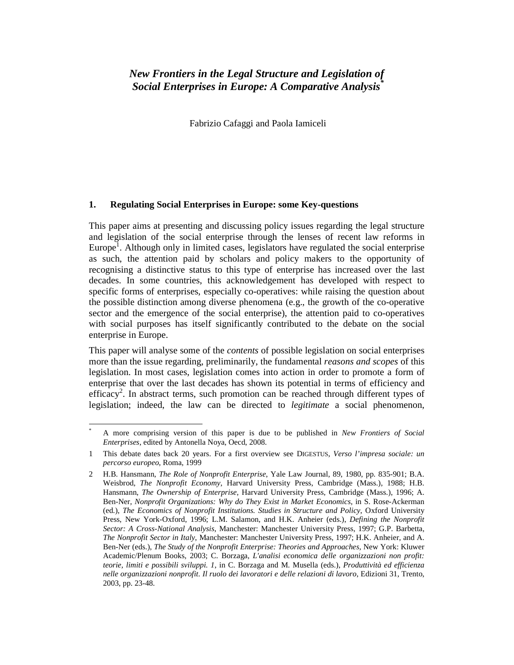# *New Frontiers in the Legal Structure and Legislation of Social Enterprises in Europe: A Comparative Analysis\**

Fabrizio Cafaggi and Paola Iamiceli

#### **1. Regulating Social Enterprises in Europe: some Key-questions**

This paper aims at presenting and discussing policy issues regarding the legal structure and legislation of the social enterprise through the lenses of recent law reforms in Europe<sup>1</sup>. Although only in limited cases, legislators have regulated the social enterprise as such, the attention paid by scholars and policy makers to the opportunity of recognising a distinctive status to this type of enterprise has increased over the last decades. In some countries, this acknowledgement has developed with respect to specific forms of enterprises, especially co-operatives: while raising the question about the possible distinction among diverse phenomena (e.g., the growth of the co-operative sector and the emergence of the social enterprise), the attention paid to co-operatives with social purposes has itself significantly contributed to the debate on the social enterprise in Europe.

This paper will analyse some of the *contents* of possible legislation on social enterprises more than the issue regarding, preliminarily, the fundamental *reasons and scopes* of this legislation. In most cases, legislation comes into action in order to promote a form of enterprise that over the last decades has shown its potential in terms of efficiency and efficacy<sup>2</sup>. In abstract terms, such promotion can be reached through different types of legislation; indeed, the law can be directed to *legitimate* a social phenomenon,

-\*

A more comprising version of this paper is due to be published in *New Frontiers of Social Enterprises*, edited by Antonella Noya, Oecd, 2008.

<sup>1</sup> This debate dates back 20 years. For a first overview see DIGESTUS, *Verso l'impresa sociale: un percorso europeo*, Roma, 1999

<sup>2</sup> H.B. Hansmann, *The Role of Nonprofit Enterprise*, Yale Law Journal, 89, 1980, pp. 835-901; B.A. Weisbrod, *The Nonprofit Economy*, Harvard University Press, Cambridge (Mass.), 1988; H.B. Hansmann, *The Ownership of Enterprise*, Harvard University Press, Cambridge (Mass.), 1996; A. Ben-Ner, *Nonprofit Organizations: Why do They Exist in Market Economics*, in S. Rose-Ackerman (ed.), *The Economics of Nonprofit Institutions. Studies in Structure and Policy*, Oxford University Press, New York-Oxford, 1996; L.M. Salamon, and H.K. Anheier (eds.), *Defining the Nonprofit Sector: A Cross-National Analysis*, Manchester: Manchester University Press, 1997; G.P. Barbetta, *The Nonprofit Sector in Italy*, Manchester: Manchester University Press, 1997; H.K. Anheier, and A. Ben-Ner (eds.), *The Study of the Nonprofit Enterprise: Theories and Approaches*, New York: Kluwer Academic/Plenum Books, 2003; C. Borzaga, *L'analisi economica delle organizzazioni non profit: teorie, limiti e possibili sviluppi. 1*, in C. Borzaga and M. Musella (eds.), *Produttività ed efficienza nelle organizzazioni nonprofit. Il ruolo dei lavoratori e delle relazioni di lavoro*, Edizioni 31, Trento, 2003, pp. 23-48.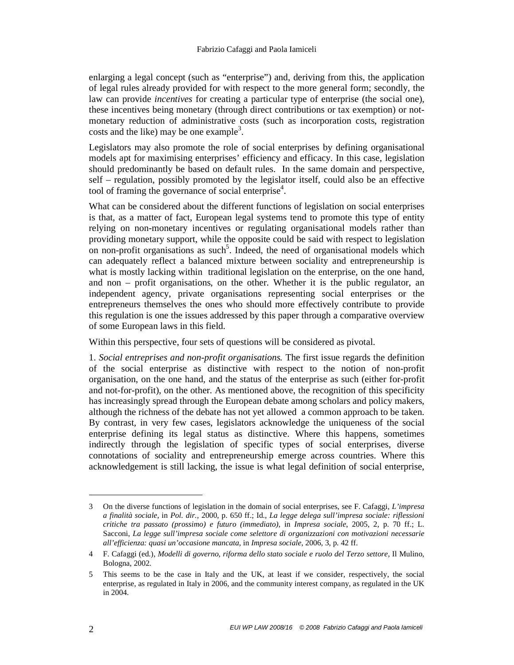enlarging a legal concept (such as "enterprise") and, deriving from this, the application of legal rules already provided for with respect to the more general form; secondly, the law can provide *incentives* for creating a particular type of enterprise (the social one), these incentives being monetary (through direct contributions or tax exemption) or notmonetary reduction of administrative costs (such as incorporation costs, registration costs and the like) may be one example<sup>3</sup>.

Legislators may also promote the role of social enterprises by defining organisational models apt for maximising enterprises' efficiency and efficacy. In this case, legislation should predominantly be based on default rules. In the same domain and perspective, self – regulation, possibly promoted by the legislator itself, could also be an effective tool of framing the governance of social enterprise<sup>4</sup>.

What can be considered about the different functions of legislation on social enterprises is that, as a matter of fact, European legal systems tend to promote this type of entity relying on non-monetary incentives or regulating organisational models rather than providing monetary support, while the opposite could be said with respect to legislation on non-profit organisations as such<sup>5</sup>. Indeed, the need of organisational models which can adequately reflect a balanced mixture between sociality and entrepreneurship is what is mostly lacking within traditional legislation on the enterprise, on the one hand, and non – profit organisations, on the other. Whether it is the public regulator, an independent agency, private organisations representing social enterprises or the entrepreneurs themselves the ones who should more effectively contribute to provide this regulation is one the issues addressed by this paper through a comparative overview of some European laws in this field.

Within this perspective, four sets of questions will be considered as pivotal.

1. *Social entreprises and non-profit organisations.* The first issue regards the definition of the social enterprise as distinctive with respect to the notion of non-profit organisation, on the one hand, and the status of the enterprise as such (either for-profit and not-for-profit), on the other. As mentioned above, the recognition of this specificity has increasingly spread through the European debate among scholars and policy makers, although the richness of the debate has not yet allowed a common approach to be taken. By contrast, in very few cases, legislators acknowledge the uniqueness of the social enterprise defining its legal status as distinctive. Where this happens, sometimes indirectly through the legislation of specific types of social enterprises, diverse connotations of sociality and entrepreneurship emerge across countries. Where this acknowledgement is still lacking, the issue is what legal definition of social enterprise,

<sup>3</sup> On the diverse functions of legislation in the domain of social enterprises, see F. Cafaggi, *L'impresa a finalità sociale*, in *Pol. dir.*, 2000, p. 650 ff.; Id., *La legge delega sull'impresa sociale: riflessioni critiche tra passato (prossimo) e futuro (immediato)*, in *Impresa sociale*, 2005, 2, p. 70 ff.; L. Sacconi, *La legge sull'impresa sociale come selettore di organizzazioni con motivazioni necessarie all'efficienza: quasi un'occasione mancata*, in *Impresa sociale*, 2006, 3, p. 42 ff.

<sup>4</sup> F. Cafaggi (ed.), *Modelli di governo, riforma dello stato sociale e ruolo del Terzo settore*, Il Mulino, Bologna, 2002.

<sup>5</sup> This seems to be the case in Italy and the UK, at least if we consider, respectively, the social enterprise, as regulated in Italy in 2006, and the community interest company, as regulated in the UK in 2004.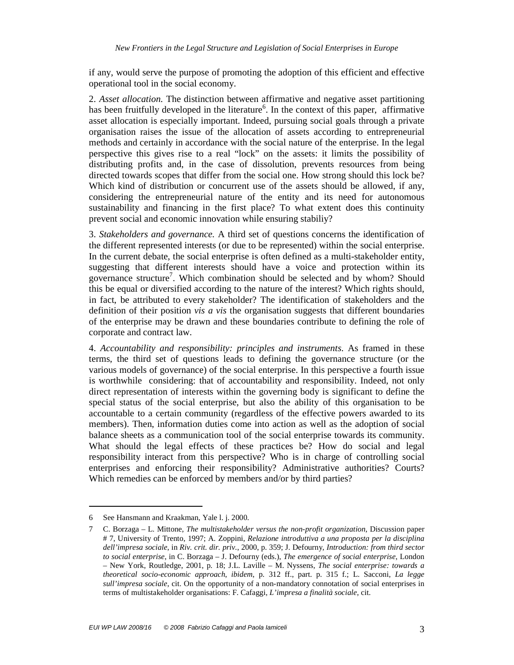if any, would serve the purpose of promoting the adoption of this efficient and effective operational tool in the social economy.

2. *Asset allocation*. The distinction between affirmative and negative asset partitioning has been fruitfully developed in the literature<sup>6</sup>. In the context of this paper, affirmative asset allocation is especially important. Indeed, pursuing social goals through a private organisation raises the issue of the allocation of assets according to entrepreneurial methods and certainly in accordance with the social nature of the enterprise. In the legal perspective this gives rise to a real "lock" on the assets: it limits the possibility of distributing profits and, in the case of dissolution, prevents resources from being directed towards scopes that differ from the social one. How strong should this lock be? Which kind of distribution or concurrent use of the assets should be allowed, if any, considering the entrepreneurial nature of the entity and its need for autonomous sustainability and financing in the first place? To what extent does this continuity prevent social and economic innovation while ensuring stabiliy?

3. *Stakeholders and governance.* A third set of questions concerns the identification of the different represented interests (or due to be represented) within the social enterprise. In the current debate, the social enterprise is often defined as a multi-stakeholder entity, suggesting that different interests should have a voice and protection within its governance structure<sup>7</sup>. Which combination should be selected and by whom? Should this be equal or diversified according to the nature of the interest? Which rights should, in fact, be attributed to every stakeholder? The identification of stakeholders and the definition of their position *vis a vis* the organisation suggests that different boundaries of the enterprise may be drawn and these boundaries contribute to defining the role of corporate and contract law.

4. *Accountability and responsibility: principles and instruments*. As framed in these terms, the third set of questions leads to defining the governance structure (or the various models of governance) of the social enterprise. In this perspective a fourth issue is worthwhile considering: that of accountability and responsibility. Indeed, not only direct representation of interests within the governing body is significant to define the special status of the social enterprise, but also the ability of this organisation to be accountable to a certain community (regardless of the effective powers awarded to its members). Then, information duties come into action as well as the adoption of social balance sheets as a communication tool of the social enterprise towards its community. What should the legal effects of these practices be? How do social and legal responsibility interact from this perspective? Who is in charge of controlling social enterprises and enforcing their responsibility? Administrative authorities? Courts? Which remedies can be enforced by members and/or by third parties?

<sup>6</sup> See Hansmann and Kraakman, Yale l. j. 2000.

<sup>7</sup> C. Borzaga – L. Mittone, *The multistakeholder versus the non-profit organization*, Discussion paper # 7, University of Trento, 1997; A. Zoppini, *Relazione introduttiva a una proposta per la disciplina dell'impresa sociale*, in *Riv. crit. dir. priv.*, 2000, p. 359; J. Defourny, *Introduction: from third sector to social enterprise*, in C. Borzaga – J. Defourny (eds.), *The emergence of social enterprise*, London – New York, Routledge, 2001, p. 18; J.L. Laville – M. Nyssens*, The social enterprise: towards a theoretical socio-economic approach*, *ibidem*, p. 312 ff., part. p. 315 f.; L. Sacconi, *La legge sull'impresa sociale*, cit. On the opportunity of a non-mandatory connotation of social enterprises in terms of multistakeholder organisations: F. Cafaggi, *L'impresa a finalità sociale*, cit.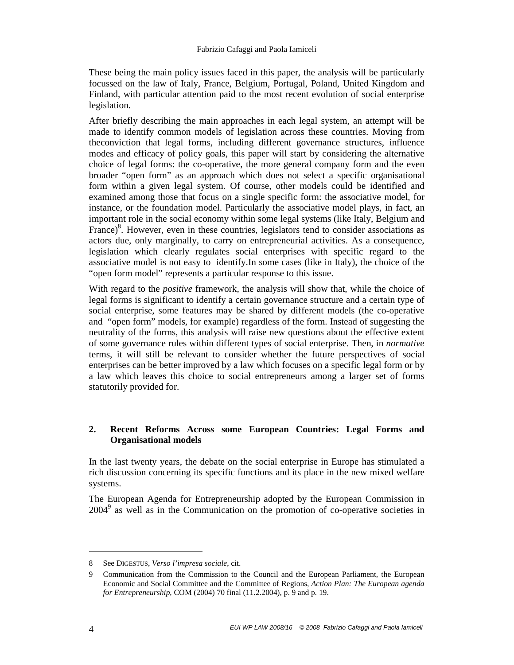These being the main policy issues faced in this paper, the analysis will be particularly focussed on the law of Italy, France, Belgium, Portugal, Poland, United Kingdom and Finland, with particular attention paid to the most recent evolution of social enterprise legislation.

After briefly describing the main approaches in each legal system, an attempt will be made to identify common models of legislation across these countries. Moving from theconviction that legal forms, including different governance structures, influence modes and efficacy of policy goals, this paper will start by considering the alternative choice of legal forms: the co-operative, the more general company form and the even broader "open form" as an approach which does not select a specific organisational form within a given legal system. Of course, other models could be identified and examined among those that focus on a single specific form: the associative model, for instance, or the foundation model. Particularly the associative model plays, in fact, an important role in the social economy within some legal systems (like Italy, Belgium and France)<sup>8</sup>. However, even in these countries, legislators tend to consider associations as actors due, only marginally, to carry on entrepreneurial activities. As a consequence, legislation which clearly regulates social enterprises with specific regard to the associative model is not easy to identify.In some cases (like in Italy), the choice of the "open form model" represents a particular response to this issue.

With regard to the *positive* framework, the analysis will show that, while the choice of legal forms is significant to identify a certain governance structure and a certain type of social enterprise, some features may be shared by different models (the co-operative and "open form" models, for example) regardless of the form. Instead of suggesting the neutrality of the forms, this analysis will raise new questions about the effective extent of some governance rules within different types of social enterprise. Then, in *normative* terms, it will still be relevant to consider whether the future perspectives of social enterprises can be better improved by a law which focuses on a specific legal form or by a law which leaves this choice to social entrepreneurs among a larger set of forms statutorily provided for.

# **2. Recent Reforms Across some European Countries: Legal Forms and Organisational models**

In the last twenty years, the debate on the social enterprise in Europe has stimulated a rich discussion concerning its specific functions and its place in the new mixed welfare systems.

The European Agenda for Entrepreneurship adopted by the European Commission in 2004<sup>9</sup> as well as in the Communication on the promotion of co-operative societies in

<sup>8</sup> See DIGESTUS, *Verso l'impresa sociale*, cit.

<sup>9</sup> Communication from the Commission to the Council and the European Parliament, the European Economic and Social Committee and the Committee of Regions, *Action Plan: The European agenda for Entrepreneurship*, COM (2004) 70 final (11.2.2004), p. 9 and p. 19.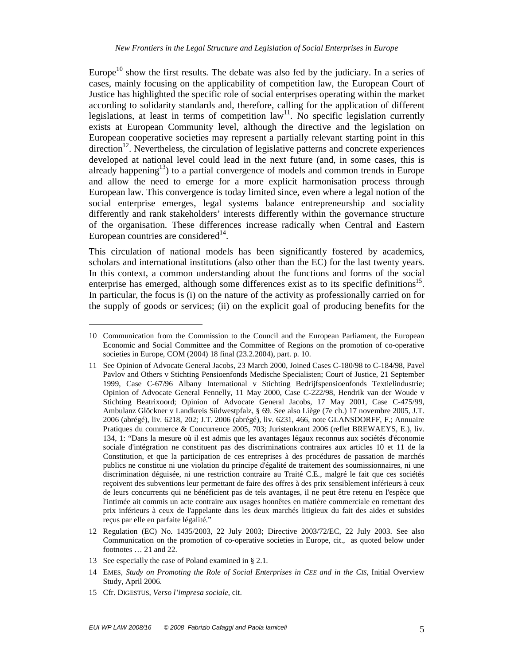Europe<sup>10</sup> show the first results. The debate was also fed by the judiciary. In a series of cases, mainly focusing on the applicability of competition law, the European Court of Justice has highlighted the specific role of social enterprises operating within the market according to solidarity standards and, therefore, calling for the application of different legislations, at least in terms of competition  $law<sup>11</sup>$ . No specific legislation currently exists at European Community level, although the directive and the legislation on European cooperative societies may represent a partially relevant starting point in this  $\alpha$  direction<sup>12</sup>. Nevertheless, the circulation of legislative patterns and concrete experiences developed at national level could lead in the next future (and, in some cases, this is already happening<sup>13</sup>) to a partial convergence of models and common trends in Europe and allow the need to emerge for a more explicit harmonisation process through European law. This convergence is today limited since, even where a legal notion of the social enterprise emerges, legal systems balance entrepreneurship and sociality differently and rank stakeholders' interests differently within the governance structure of the organisation. These differences increase radically when Central and Eastern European countries are considered $14$ .

This circulation of national models has been significantly fostered by academics, scholars and international institutions (also other than the EC) for the last twenty years. In this context, a common understanding about the functions and forms of the social enterprise has emerged, although some differences exist as to its specific definitions<sup>15</sup>. In particular, the focus is (i) on the nature of the activity as professionally carried on for the supply of goods or services; (ii) on the explicit goal of producing benefits for the

15 Cfr. DIGESTUS, *Verso l'impresa sociale*, cit.

<sup>10</sup> Communication from the Commission to the Council and the European Parliament, the European Economic and Social Committee and the Committee of Regions on the promotion of co-operative societies in Europe, COM (2004) 18 final (23.2.2004), part. p. 10.

<sup>11</sup> See Opinion of Advocate General Jacobs, 23 March 2000, Joined Cases C-180/98 to C-184/98, Pavel Pavlov and Others v Stichting Pensioenfonds Medische Specialisten; Court of Justice, 21 September 1999, Case C-67/96 Albany International v Stichting Bedrijfspensioenfonds Textielindustrie; Opinion of Advocate General Fennelly, 11 May 2000, Case C-222/98, Hendrik van der Woude v Stichting Beatrixoord; Opinion of Advocate General Jacobs, 17 May 2001, Case C-475/99, Ambulanz Glöckner v Landkreis Südwestpfalz, § 69. See also Liège (7e ch.) 17 novembre 2005, J.T. 2006 (abrégé), liv. 6218, 202; J.T. 2006 (abrégé), liv. 6231, 466, note GLANSDORFF, F.; Annuaire Pratiques du commerce & Concurrence 2005, 703; Juristenkrant 2006 (reflet BREWAEYS, E.), liv. 134, 1: "Dans la mesure où il est admis que les avantages légaux reconnus aux sociétés d'économie sociale d'intégration ne constituent pas des discriminations contraires aux articles 10 et 11 de la Constitution, et que la participation de ces entreprises à des procédures de passation de marchés publics ne constitue ni une violation du principe d'égalité de traitement des soumissionnaires, ni une discrimination déguisée, ni une restriction contraire au Traité C.E., malgré le fait que ces sociétés reçoivent des subventions leur permettant de faire des offres à des prix sensiblement inférieurs à ceux de leurs concurrents qui ne bénéficient pas de tels avantages, il ne peut être retenu en l'espèce que l'intimée ait commis un acte contraire aux usages honnêtes en matière commerciale en remettant des prix inférieurs à ceux de l'appelante dans les deux marchés litigieux du fait des aides et subsides reçus par elle en parfaite légalité."

<sup>12</sup> Regulation (EC) No. 1435/2003, 22 July 2003; Directive 2003/72/EC, 22 July 2003. See also Communication on the promotion of co-operative societies in Europe, cit., as quoted below under footnotes … 21 and 22.

<sup>13</sup> See especially the case of Poland examined in § 2.1.

<sup>14</sup> EMES, *Study on Promoting the Role of Social Enterprises in CEE and in the CIS*, Initial Overview Study, April 2006.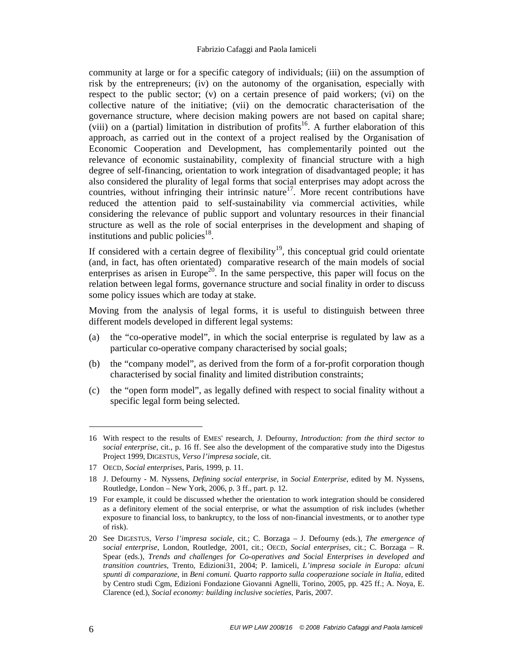community at large or for a specific category of individuals; (iii) on the assumption of risk by the entrepreneurs; (iv) on the autonomy of the organisation, especially with respect to the public sector; (v) on a certain presence of paid workers; (vi) on the collective nature of the initiative; (vii) on the democratic characterisation of the governance structure, where decision making powers are not based on capital share; (viii) on a (partial) limitation in distribution of profits<sup>16</sup>. A further elaboration of this approach, as carried out in the context of a project realised by the Organisation of Economic Cooperation and Development, has complementarily pointed out the relevance of economic sustainability, complexity of financial structure with a high degree of self-financing, orientation to work integration of disadvantaged people; it has also considered the plurality of legal forms that social enterprises may adopt across the countries, without infringing their intrinsic nature<sup>17</sup>. More recent contributions have reduced the attention paid to self-sustainability via commercial activities, while considering the relevance of public support and voluntary resources in their financial structure as well as the role of social enterprises in the development and shaping of institutions and public policies $^{18}$ .

If considered with a certain degree of flexibility<sup>19</sup>, this conceptual grid could orientate (and, in fact, has often orientated) comparative research of the main models of social enterprises as arisen in Europe<sup>20</sup>. In the same perspective, this paper will focus on the relation between legal forms, governance structure and social finality in order to discuss some policy issues which are today at stake.

Moving from the analysis of legal forms, it is useful to distinguish between three different models developed in different legal systems:

- (a) the "co-operative model", in which the social enterprise is regulated by law as a particular co-operative company characterised by social goals;
- (b) the "company model", as derived from the form of a for-profit corporation though characterised by social finality and limited distribution constraints;
- (c) the "open form model", as legally defined with respect to social finality without a specific legal form being selected.

<sup>16</sup> With respect to the results of EMES' research, J. Defourny, *Introduction: from the third sector to social enterprise*, cit., p. 16 ff. See also the development of the comparative study into the Digestus Project 1999, DIGESTUS, *Verso l'impresa sociale*, cit.

<sup>17</sup> OECD, *Social enterprises*, Paris, 1999, p. 11.

<sup>18</sup> J. Defourny - M. Nyssens, *Defining social enterprise*, in *Social Enterprise*, edited by M. Nyssens, Routledge, London – New York, 2006, p. 3 ff., part. p. 12.

<sup>19</sup> For example, it could be discussed whether the orientation to work integration should be considered as a definitory element of the social enterprise, or what the assumption of risk includes (whether exposure to financial loss, to bankruptcy, to the loss of non-financial investments, or to another type of risk).

<sup>20</sup> See DIGESTUS, *Verso l'impresa sociale*, cit.; C. Borzaga – J. Defourny (eds.), *The emergence of social enterprise*, London, Routledge, 2001, cit.; OECD, *Social enterprises*, cit.; C. Borzaga – R. Spear (eds.), *Trends and challenges for Co-operatives and Social Enterprises in developed and transition countries*, Trento, Edizioni31, 2004; P. Iamiceli, *L'impresa sociale in Europa: alcuni spunti di comparazione*, in *Beni comuni. Quarto rapporto sulla cooperazione sociale in Italia*, edited by Centro studi Cgm, Edizioni Fondazione Giovanni Agnelli, Torino, 2005, pp. 425 ff.; A. Noya, E. Clarence (ed.), *Social economy: building inclusive societies*, Paris, 2007.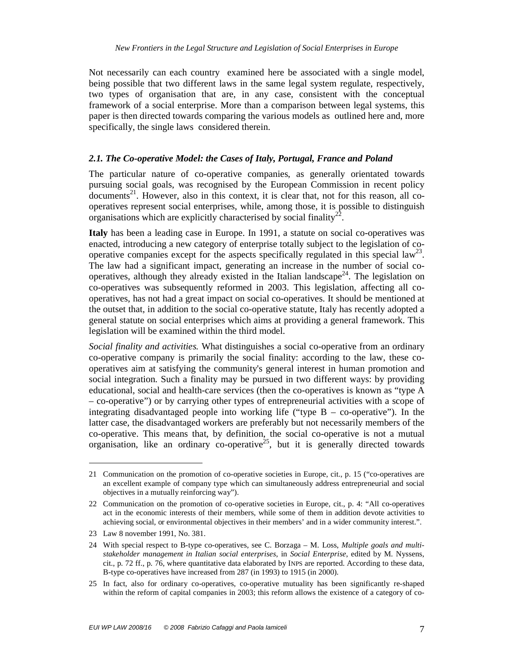Not necessarily can each country examined here be associated with a single model, being possible that two different laws in the same legal system regulate, respectively, two types of organisation that are, in any case, consistent with the conceptual framework of a social enterprise. More than a comparison between legal systems, this paper is then directed towards comparing the various models as outlined here and, more specifically, the single laws considered therein.

#### *2.1. The Co-operative Model: the Cases of Italy, Portugal, France and Poland*

The particular nature of co-operative companies, as generally orientated towards pursuing social goals, was recognised by the European Commission in recent policy documents<sup>21</sup>. However, also in this context, it is clear that, not for this reason, all cooperatives represent social enterprises, while, among those, it is possible to distinguish  $\alpha$  organisations which are explicitly characterised by social finality<sup>22</sup>.

**Italy** has been a leading case in Europe. In 1991, a statute on social co-operatives was enacted, introducing a new category of enterprise totally subject to the legislation of cooperative companies except for the aspects specifically regulated in this special  $law^{23}$ . The law had a significant impact, generating an increase in the number of social cooperatives, although they already existed in the Italian landscape<sup>24</sup>. The legislation on co-operatives was subsequently reformed in 2003. This legislation, affecting all cooperatives, has not had a great impact on social co-operatives. It should be mentioned at the outset that, in addition to the social co-operative statute, Italy has recently adopted a general statute on social enterprises which aims at providing a general framework. This legislation will be examined within the third model.

*Social finality and activities.* What distinguishes a social co-operative from an ordinary co-operative company is primarily the social finality: according to the law, these cooperatives aim at satisfying the community's general interest in human promotion and social integration. Such a finality may be pursued in two different ways: by providing educational, social and health-care services (then the co-operatives is known as "type A – co-operative") or by carrying other types of entrepreneurial activities with a scope of integrating disadvantaged people into working life ("type B – co-operative"). In the latter case, the disadvantaged workers are preferably but not necessarily members of the co-operative. This means that, by definition, the social co-operative is not a mutual organisation, like an ordinary co-operative<sup>25</sup>, but it is generally directed towards

<sup>21</sup> Communication on the promotion of co-operative societies in Europe, cit., p. 15 ("co-operatives are an excellent example of company type which can simultaneously address entrepreneurial and social objectives in a mutually reinforcing way").

<sup>22</sup> Communication on the promotion of co-operative societies in Europe, cit., p. 4: "All co-operatives act in the economic interests of their members, while some of them in addition devote activities to achieving social, or environmental objectives in their members' and in a wider community interest.".

<sup>23</sup> Law 8 november 1991, No. 381.

<sup>24</sup> With special respect to B-type co-operatives, see C. Borzaga – M. Loss, *Multiple goals and multistakeholder management in Italian social enterprises*, in *Social Enterprise*, edited by M. Nyssens, cit., p. 72 ff., p. 76, where quantitative data elaborated by INPS are reported. According to these data, B-type co-operatives have increased from 287 (in 1993) to 1915 (in 2000).

<sup>25</sup> In fact, also for ordinary co-operatives, co-operative mutuality has been significantly re-shaped within the reform of capital companies in 2003; this reform allows the existence of a category of co-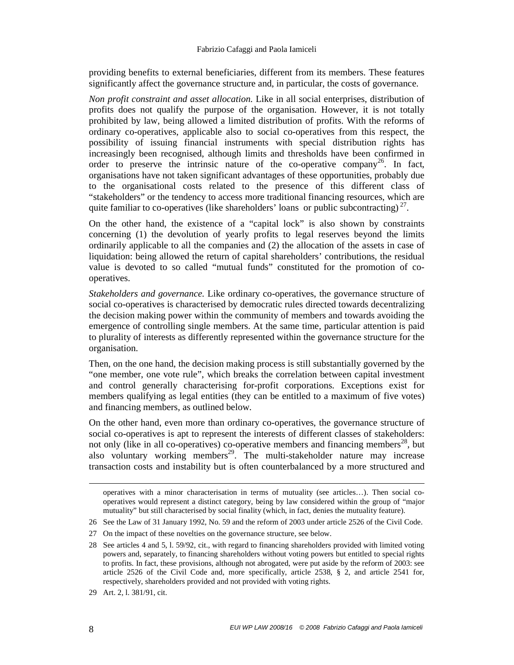#### Fabrizio Cafaggi and Paola Iamiceli

providing benefits to external beneficiaries, different from its members. These features significantly affect the governance structure and, in particular, the costs of governance.

*Non profit constraint and asset allocation*. Like in all social enterprises, distribution of profits does not qualify the purpose of the organisation. However, it is not totally prohibited by law, being allowed a limited distribution of profits. With the reforms of ordinary co-operatives, applicable also to social co-operatives from this respect, the possibility of issuing financial instruments with special distribution rights has increasingly been recognised, although limits and thresholds have been confirmed in order to preserve the intrinsic nature of the co-operative company<sup>26</sup>. In fact, organisations have not taken significant advantages of these opportunities, probably due to the organisational costs related to the presence of this different class of "stakeholders" or the tendency to access more traditional financing resources, which are quite familiar to co-operatives (like shareholders' loans or public subcontracting)<sup>27</sup>.

On the other hand, the existence of a "capital lock" is also shown by constraints concerning (1) the devolution of yearly profits to legal reserves beyond the limits ordinarily applicable to all the companies and (2) the allocation of the assets in case of liquidation: being allowed the return of capital shareholders' contributions, the residual value is devoted to so called "mutual funds" constituted for the promotion of cooperatives.

*Stakeholders and governance.* Like ordinary co-operatives, the governance structure of social co-operatives is characterised by democratic rules directed towards decentralizing the decision making power within the community of members and towards avoiding the emergence of controlling single members. At the same time, particular attention is paid to plurality of interests as differently represented within the governance structure for the organisation.

Then, on the one hand, the decision making process is still substantially governed by the "one member, one vote rule", which breaks the correlation between capital investment and control generally characterising for-profit corporations. Exceptions exist for members qualifying as legal entities (they can be entitled to a maximum of five votes) and financing members, as outlined below.

On the other hand, even more than ordinary co-operatives, the governance structure of social co-operatives is apt to represent the interests of different classes of stakeholders: not only (like in all co-operatives) co-operative members and financing members<sup>28</sup>, but also voluntary working members<sup>29</sup>. The multi-stakeholder nature may increase transaction costs and instability but is often counterbalanced by a more structured and

27 On the impact of these novelties on the governance structure, see below.

 $\overline{a}$ 

operatives with a minor characterisation in terms of mutuality (see articles…). Then social cooperatives would represent a distinct category, being by law considered within the group of "major mutuality" but still characterised by social finality (which, in fact, denies the mutuality feature).

<sup>26</sup> See the Law of 31 January 1992, No. 59 and the reform of 2003 under article 2526 of the Civil Code.

<sup>28</sup> See articles 4 and 5, l. 59/92, cit., with regard to financing shareholders provided with limited voting powers and, separately, to financing shareholders without voting powers but entitled to special rights to profits. In fact, these provisions, although not abrogated, were put aside by the reform of 2003: see article 2526 of the Civil Code and, more specifically, article 2538, § 2, and article 2541 for, respectively, shareholders provided and not provided with voting rights.

<sup>29</sup> Art. 2, l. 381/91, cit.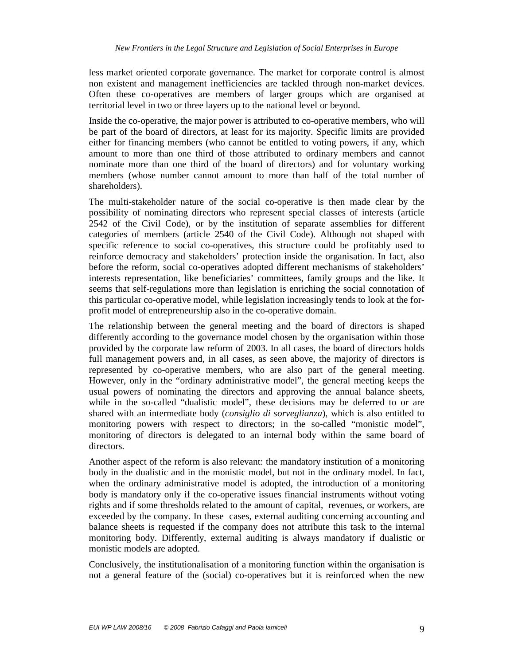less market oriented corporate governance. The market for corporate control is almost non existent and management inefficiencies are tackled through non-market devices. Often these co-operatives are members of larger groups which are organised at territorial level in two or three layers up to the national level or beyond.

Inside the co-operative, the major power is attributed to co-operative members, who will be part of the board of directors, at least for its majority. Specific limits are provided either for financing members (who cannot be entitled to voting powers, if any, which amount to more than one third of those attributed to ordinary members and cannot nominate more than one third of the board of directors) and for voluntary working members (whose number cannot amount to more than half of the total number of shareholders).

The multi-stakeholder nature of the social co-operative is then made clear by the possibility of nominating directors who represent special classes of interests (article 2542 of the Civil Code), or by the institution of separate assemblies for different categories of members (article 2540 of the Civil Code). Although not shaped with specific reference to social co-operatives, this structure could be profitably used to reinforce democracy and stakeholders' protection inside the organisation. In fact, also before the reform, social co-operatives adopted different mechanisms of stakeholders' interests representation, like beneficiaries' committees, family groups and the like. It seems that self-regulations more than legislation is enriching the social connotation of this particular co-operative model, while legislation increasingly tends to look at the forprofit model of entrepreneurship also in the co-operative domain.

The relationship between the general meeting and the board of directors is shaped differently according to the governance model chosen by the organisation within those provided by the corporate law reform of 2003. In all cases, the board of directors holds full management powers and, in all cases, as seen above, the majority of directors is represented by co-operative members, who are also part of the general meeting. However, only in the "ordinary administrative model", the general meeting keeps the usual powers of nominating the directors and approving the annual balance sheets, while in the so-called "dualistic model", these decisions may be deferred to or are shared with an intermediate body (*consiglio di sorveglianza*), which is also entitled to monitoring powers with respect to directors; in the so-called "monistic model", monitoring of directors is delegated to an internal body within the same board of directors.

Another aspect of the reform is also relevant: the mandatory institution of a monitoring body in the dualistic and in the monistic model, but not in the ordinary model. In fact, when the ordinary administrative model is adopted, the introduction of a monitoring body is mandatory only if the co-operative issues financial instruments without voting rights and if some thresholds related to the amount of capital, revenues, or workers, are exceeded by the company. In these cases, external auditing concerning accounting and balance sheets is requested if the company does not attribute this task to the internal monitoring body. Differently, external auditing is always mandatory if dualistic or monistic models are adopted.

Conclusively, the institutionalisation of a monitoring function within the organisation is not a general feature of the (social) co-operatives but it is reinforced when the new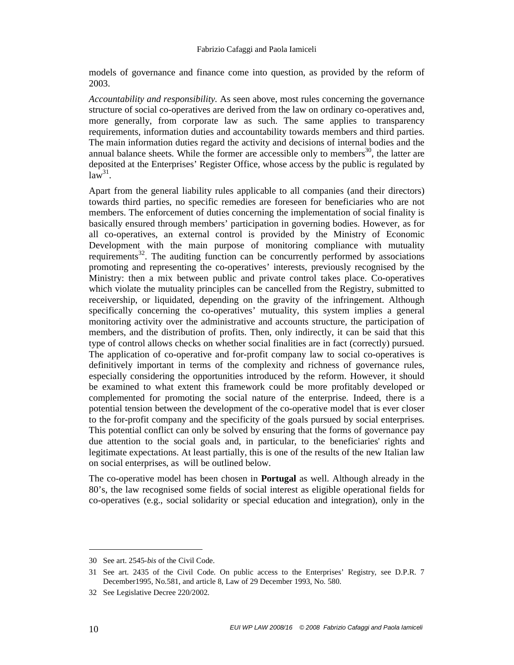models of governance and finance come into question, as provided by the reform of 2003.

*Accountability and responsibility.* As seen above, most rules concerning the governance structure of social co-operatives are derived from the law on ordinary co-operatives and, more generally, from corporate law as such. The same applies to transparency requirements, information duties and accountability towards members and third parties. The main information duties regard the activity and decisions of internal bodies and the annual balance sheets. While the former are accessible only to members<sup>30</sup>, the latter are deposited at the Enterprises' Register Office, whose access by the public is regulated by  $1a\tilde{w}^{31}$ .

Apart from the general liability rules applicable to all companies (and their directors) towards third parties, no specific remedies are foreseen for beneficiaries who are not members. The enforcement of duties concerning the implementation of social finality is basically ensured through members' participation in governing bodies. However, as for all co-operatives, an external control is provided by the Ministry of Economic Development with the main purpose of monitoring compliance with mutuality requirements<sup>32</sup>. The auditing function can be concurrently performed by associations promoting and representing the co-operatives' interests, previously recognised by the Ministry: then a mix between public and private control takes place. Co-operatives which violate the mutuality principles can be cancelled from the Registry, submitted to receivership, or liquidated, depending on the gravity of the infringement. Although specifically concerning the co-operatives' mutuality, this system implies a general monitoring activity over the administrative and accounts structure, the participation of members, and the distribution of profits. Then, only indirectly, it can be said that this type of control allows checks on whether social finalities are in fact (correctly) pursued. The application of co-operative and for-profit company law to social co-operatives is definitively important in terms of the complexity and richness of governance rules, especially considering the opportunities introduced by the reform. However, it should be examined to what extent this framework could be more profitably developed or complemented for promoting the social nature of the enterprise. Indeed, there is a potential tension between the development of the co-operative model that is ever closer to the for-profit company and the specificity of the goals pursued by social enterprises. This potential conflict can only be solved by ensuring that the forms of governance pay due attention to the social goals and, in particular, to the beneficiaries' rights and legitimate expectations. At least partially, this is one of the results of the new Italian law on social enterprises, as will be outlined below.

The co-operative model has been chosen in **Portugal** as well. Although already in the 80's, the law recognised some fields of social interest as eligible operational fields for co-operatives (e.g., social solidarity or special education and integration), only in the

<sup>30</sup> See art. 2545-*bis* of the Civil Code.

<sup>31</sup> See art. 2435 of the Civil Code. On public access to the Enterprises' Registry, see D.P.R. 7 December1995, No.581, and article 8, Law of 29 December 1993, No. 580.

<sup>32</sup> See Legislative Decree 220/2002.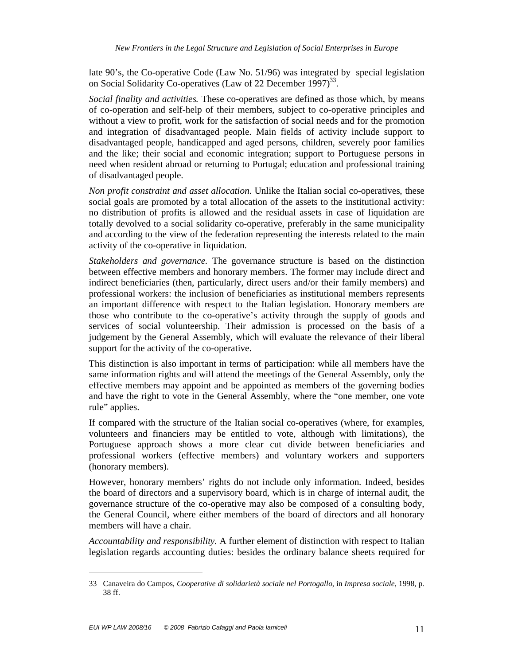late 90's, the Co-operative Code (Law No. 51/96) was integrated by special legislation on Social Solidarity Co-operatives (Law of 22 December 1997)<sup>33</sup>.

*Social finality and activities.* These co-operatives are defined as those which, by means of co-operation and self-help of their members, subject to co-operative principles and without a view to profit, work for the satisfaction of social needs and for the promotion and integration of disadvantaged people. Main fields of activity include support to disadvantaged people, handicapped and aged persons, children, severely poor families and the like; their social and economic integration; support to Portuguese persons in need when resident abroad or returning to Portugal; education and professional training of disadvantaged people.

*Non profit constraint and asset allocation*. Unlike the Italian social co-operatives, these social goals are promoted by a total allocation of the assets to the institutional activity: no distribution of profits is allowed and the residual assets in case of liquidation are totally devolved to a social solidarity co-operative, preferably in the same municipality and according to the view of the federation representing the interests related to the main activity of the co-operative in liquidation.

*Stakeholders and governance.* The governance structure is based on the distinction between effective members and honorary members. The former may include direct and indirect beneficiaries (then, particularly, direct users and/or their family members) and professional workers: the inclusion of beneficiaries as institutional members represents an important difference with respect to the Italian legislation. Honorary members are those who contribute to the co-operative's activity through the supply of goods and services of social volunteership. Their admission is processed on the basis of a judgement by the General Assembly, which will evaluate the relevance of their liberal support for the activity of the co-operative.

This distinction is also important in terms of participation: while all members have the same information rights and will attend the meetings of the General Assembly, only the effective members may appoint and be appointed as members of the governing bodies and have the right to vote in the General Assembly, where the "one member, one vote rule" applies.

If compared with the structure of the Italian social co-operatives (where, for examples, volunteers and financiers may be entitled to vote, although with limitations), the Portuguese approach shows a more clear cut divide between beneficiaries and professional workers (effective members) and voluntary workers and supporters (honorary members).

However, honorary members' rights do not include only information. Indeed, besides the board of directors and a supervisory board, which is in charge of internal audit, the governance structure of the co-operative may also be composed of a consulting body, the General Council, where either members of the board of directors and all honorary members will have a chair.

*Accountability and responsibility.* A further element of distinction with respect to Italian legislation regards accounting duties: besides the ordinary balance sheets required for

<sup>33</sup> Canaveira do Campos, *Cooperative di solidarietà sociale nel Portogallo*, in *Impresa sociale*, 1998, p. 38 ff.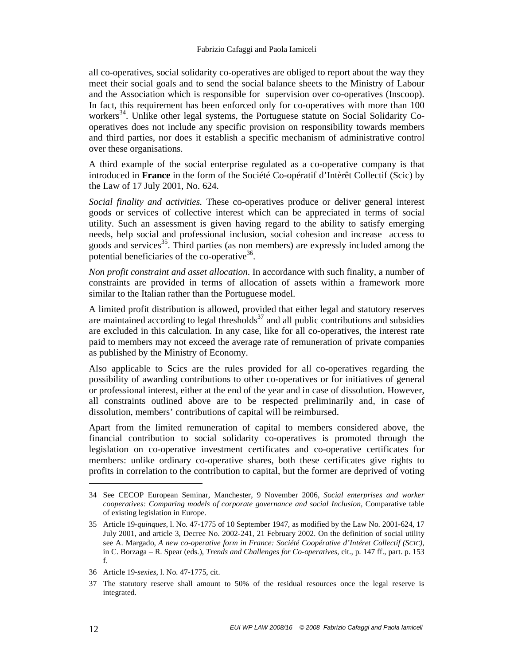all co-operatives, social solidarity co-operatives are obliged to report about the way they meet their social goals and to send the social balance sheets to the Ministry of Labour and the Association which is responsible for supervision over co-operatives (Inscoop). In fact, this requirement has been enforced only for co-operatives with more than 100 workers<sup>34</sup>. Unlike other legal systems, the Portuguese statute on Social Solidarity Cooperatives does not include any specific provision on responsibility towards members and third parties, nor does it establish a specific mechanism of administrative control over these organisations.

A third example of the social enterprise regulated as a co-operative company is that introduced in **France** in the form of the Société Co-opératif d'Intèrêt Collectif (Scic) by the Law of 17 July 2001, No. 624.

*Social finality and activities.* These co-operatives produce or deliver general interest goods or services of collective interest which can be appreciated in terms of social utility. Such an assessment is given having regard to the ability to satisfy emerging needs, help social and professional inclusion, social cohesion and increase access to goods and services<sup>35</sup>. Third parties (as non members) are expressly included among the potential beneficiaries of the co-operative $36$ .

*Non profit constraint and asset allocation*. In accordance with such finality, a number of constraints are provided in terms of allocation of assets within a framework more similar to the Italian rather than the Portuguese model.

A limited profit distribution is allowed, provided that either legal and statutory reserves are maintained according to legal thresholds $37$  and all public contributions and subsidies are excluded in this calculation. In any case, like for all co-operatives, the interest rate paid to members may not exceed the average rate of remuneration of private companies as published by the Ministry of Economy.

Also applicable to Scics are the rules provided for all co-operatives regarding the possibility of awarding contributions to other co-operatives or for initiatives of general or professional interest, either at the end of the year and in case of dissolution. However, all constraints outlined above are to be respected preliminarily and, in case of dissolution, members' contributions of capital will be reimbursed.

Apart from the limited remuneration of capital to members considered above, the financial contribution to social solidarity co-operatives is promoted through the legislation on co-operative investment certificates and co-operative certificates for members: unlike ordinary co-operative shares, both these certificates give rights to profits in correlation to the contribution to capital, but the former are deprived of voting

<sup>34</sup> See CECOP European Seminar, Manchester, 9 November 2006, *Social enterprises and worker cooperatives: Comparing models of corporate governance and social Inclusion*, Comparative table of existing legislation in Europe.

<sup>35</sup> Article 19-*quinques*, l. No. 47-1775 of 10 September 1947, as modified by the Law No. 2001-624, 17 July 2001, and article 3, Decree No. 2002-241, 21 February 2002. On the definition of social utility see A. Margado, *A new co-operative form in France: Société Coopérative d'Intéret Collectif (SCIC)*, in C. Borzaga – R. Spear (eds.), *Trends and Challenges for Co-operatives*, cit., p. 147 ff., part. p. 153 f.

<sup>36</sup> Article 19-*sexies*, l. No. 47-1775, cit.

<sup>37</sup> The statutory reserve shall amount to 50% of the residual resources once the legal reserve is integrated.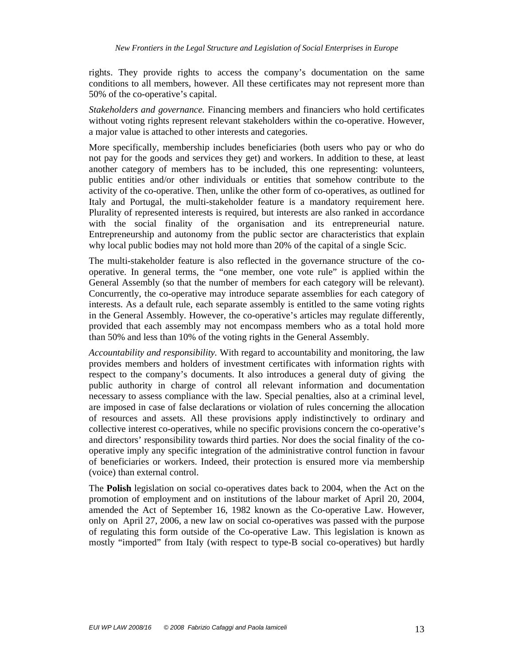rights. They provide rights to access the company's documentation on the same conditions to all members, however. All these certificates may not represent more than 50% of the co-operative's capital.

*Stakeholders and governance.* Financing members and financiers who hold certificates without voting rights represent relevant stakeholders within the co-operative. However, a major value is attached to other interests and categories.

More specifically, membership includes beneficiaries (both users who pay or who do not pay for the goods and services they get) and workers. In addition to these, at least another category of members has to be included, this one representing: volunteers, public entities and/or other individuals or entities that somehow contribute to the activity of the co-operative. Then, unlike the other form of co-operatives, as outlined for Italy and Portugal, the multi-stakeholder feature is a mandatory requirement here. Plurality of represented interests is required, but interests are also ranked in accordance with the social finality of the organisation and its entrepreneurial nature. Entrepreneurship and autonomy from the public sector are characteristics that explain why local public bodies may not hold more than 20% of the capital of a single Scic.

The multi-stakeholder feature is also reflected in the governance structure of the cooperative. In general terms, the "one member, one vote rule" is applied within the General Assembly (so that the number of members for each category will be relevant). Concurrently, the co-operative may introduce separate assemblies for each category of interests. As a default rule, each separate assembly is entitled to the same voting rights in the General Assembly. However, the co-operative's articles may regulate differently, provided that each assembly may not encompass members who as a total hold more than 50% and less than 10% of the voting rights in the General Assembly.

*Accountability and responsibility.* With regard to accountability and monitoring, the law provides members and holders of investment certificates with information rights with respect to the company's documents. It also introduces a general duty of giving the public authority in charge of control all relevant information and documentation necessary to assess compliance with the law. Special penalties, also at a criminal level, are imposed in case of false declarations or violation of rules concerning the allocation of resources and assets. All these provisions apply indistinctively to ordinary and collective interest co-operatives, while no specific provisions concern the co-operative's and directors' responsibility towards third parties. Nor does the social finality of the cooperative imply any specific integration of the administrative control function in favour of beneficiaries or workers. Indeed, their protection is ensured more via membership (voice) than external control.

The **Polish** legislation on social co-operatives dates back to 2004, when the Act on the promotion of employment and on institutions of the labour market of April 20, 2004, amended the Act of September 16, 1982 known as the Co-operative Law. However, only on April 27, 2006, a new law on social co-operatives was passed with the purpose of regulating this form outside of the Co-operative Law. This legislation is known as mostly "imported" from Italy (with respect to type-B social co-operatives) but hardly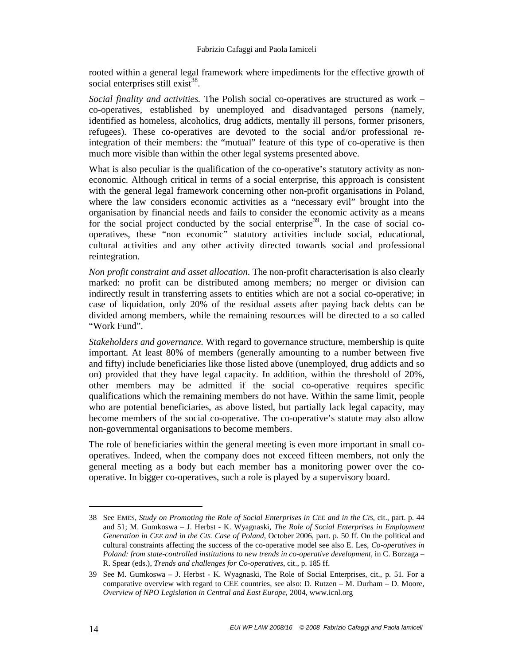rooted within a general legal framework where impediments for the effective growth of social enterprises still exist $^{38}$ .

*Social finality and activities.* The Polish social co-operatives are structured as work – co-operatives, established by unemployed and disadvantaged persons (namely, identified as homeless, alcoholics, drug addicts, mentally ill persons, former prisoners, refugees). These co-operatives are devoted to the social and/or professional reintegration of their members: the "mutual" feature of this type of co-operative is then much more visible than within the other legal systems presented above.

What is also peculiar is the qualification of the co-operative's statutory activity as noneconomic. Although critical in terms of a social enterprise, this approach is consistent with the general legal framework concerning other non-profit organisations in Poland, where the law considers economic activities as a "necessary evil" brought into the organisation by financial needs and fails to consider the economic activity as a means for the social project conducted by the social enterprise<sup>39</sup>. In the case of social cooperatives, these "non economic" statutory activities include social, educational, cultural activities and any other activity directed towards social and professional reintegration.

*Non profit constraint and asset allocation*. The non-profit characterisation is also clearly marked: no profit can be distributed among members; no merger or division can indirectly result in transferring assets to entities which are not a social co-operative; in case of liquidation, only 20% of the residual assets after paying back debts can be divided among members, while the remaining resources will be directed to a so called "Work Fund".

*Stakeholders and governance.* With regard to governance structure, membership is quite important. At least 80% of members (generally amounting to a number between five and fifty) include beneficiaries like those listed above (unemployed, drug addicts and so on) provided that they have legal capacity. In addition, within the threshold of 20%, other members may be admitted if the social co-operative requires specific qualifications which the remaining members do not have. Within the same limit, people who are potential beneficiaries, as above listed, but partially lack legal capacity, may become members of the social co-operative. The co-operative's statute may also allow non-governmental organisations to become members.

The role of beneficiaries within the general meeting is even more important in small cooperatives. Indeed, when the company does not exceed fifteen members, not only the general meeting as a body but each member has a monitoring power over the cooperative. In bigger co-operatives, such a role is played by a supervisory board.

<sup>38</sup> See EMES, *Study on Promoting the Role of Social Enterprises in CEE and in the CIS*, cit., part. p. 44 and 51; M. Gumkoswa – J. Herbst - K. Wyagnaski, *The Role of Social Enterprises in Employment Generation in CEE and in the CIS. Case of Poland*, October 2006, part. p. 50 ff. On the political and cultural constraints affecting the success of the co-operative model see also E. Les, *Co-operatives in Poland: from state-controlled institutions to new trends in co-operative development*, in C. Borzaga – R. Spear (eds.), *Trends and challenges for Co-operatives*, cit., p. 185 ff.

<sup>39</sup> See M. Gumkoswa – J. Herbst - K. Wyagnaski, The Role of Social Enterprises, cit., p. 51. For a comparative overview with regard to CEE countries, see also:  $D$ . Rutzen – M. Durham – D. Moore, *Overview of NPO Legislation in Central and East Europe*, 2004, www.icnl.org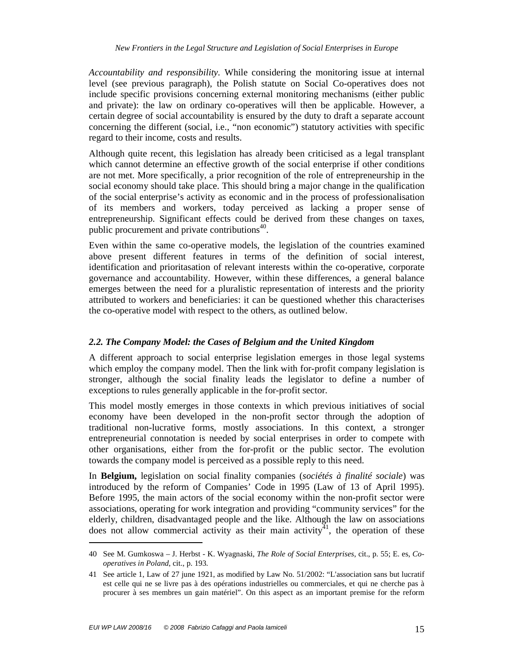*Accountability and responsibility.* While considering the monitoring issue at internal level (see previous paragraph), the Polish statute on Social Co-operatives does not include specific provisions concerning external monitoring mechanisms (either public and private): the law on ordinary co-operatives will then be applicable. However, a certain degree of social accountability is ensured by the duty to draft a separate account concerning the different (social, i.e., "non economic") statutory activities with specific regard to their income, costs and results.

Although quite recent, this legislation has already been criticised as a legal transplant which cannot determine an effective growth of the social enterprise if other conditions are not met. More specifically, a prior recognition of the role of entrepreneurship in the social economy should take place. This should bring a major change in the qualification of the social enterprise's activity as economic and in the process of professionalisation of its members and workers, today perceived as lacking a proper sense of entrepreneurship. Significant effects could be derived from these changes on taxes, public procurement and private contributions<sup>40</sup>.

Even within the same co-operative models, the legislation of the countries examined above present different features in terms of the definition of social interest, identification and prioritasation of relevant interests within the co-operative, corporate governance and accountability. However, within these differences, a general balance emerges between the need for a pluralistic representation of interests and the priority attributed to workers and beneficiaries: it can be questioned whether this characterises the co-operative model with respect to the others, as outlined below.

#### *2.2. The Company Model: the Cases of Belgium and the United Kingdom*

A different approach to social enterprise legislation emerges in those legal systems which employ the company model. Then the link with for-profit company legislation is stronger, although the social finality leads the legislator to define a number of exceptions to rules generally applicable in the for-profit sector.

This model mostly emerges in those contexts in which previous initiatives of social economy have been developed in the non-profit sector through the adoption of traditional non-lucrative forms, mostly associations. In this context, a stronger entrepreneurial connotation is needed by social enterprises in order to compete with other organisations, either from the for-profit or the public sector. The evolution towards the company model is perceived as a possible reply to this need.

In **Belgium,** legislation on social finality companies (*sociétés à finalité sociale*) was introduced by the reform of Companies' Code in 1995 (Law of 13 of April 1995). Before 1995, the main actors of the social economy within the non-profit sector were associations, operating for work integration and providing "community services" for the elderly, children, disadvantaged people and the like. Although the law on associations does not allow commercial activity as their main activity<sup>41</sup>, the operation of these

<sup>40</sup> See M. Gumkoswa – J. Herbst - K. Wyagnaski, *The Role of Social Enterprises*, cit., p. 55; E. es, *Cooperatives in Poland*, cit., p. 193.

<sup>41</sup> See article 1, Law of 27 june 1921, as modified by Law No. 51/2002: "L'association sans but lucratif est celle qui ne se livre pas à des opérations industrielles ou commerciales, et qui ne cherche pas à procurer à ses membres un gain matériel". On this aspect as an important premise for the reform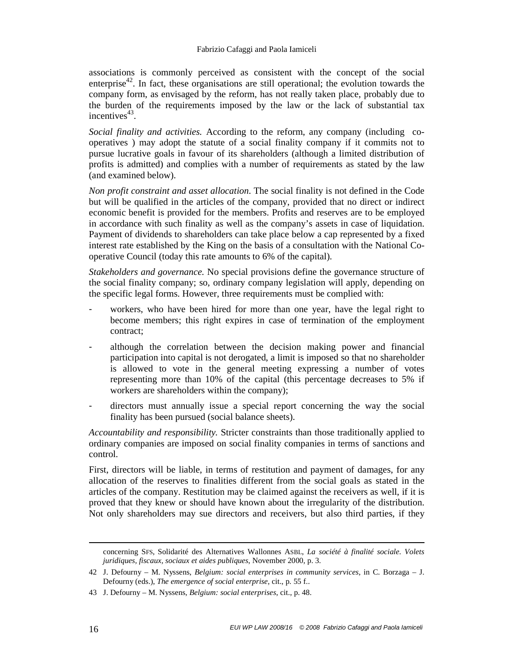associations is commonly perceived as consistent with the concept of the social enterprise<sup>42</sup>. In fact, these organisations are still operational; the evolution towards the company form, as envisaged by the reform, has not really taken place, probably due to the burden of the requirements imposed by the law or the lack of substantial tax incentives $43$ .

*Social finality and activities.* According to the reform, any company (including cooperatives ) may adopt the statute of a social finality company if it commits not to pursue lucrative goals in favour of its shareholders (although a limited distribution of profits is admitted) and complies with a number of requirements as stated by the law (and examined below).

*Non profit constraint and asset allocation*. The social finality is not defined in the Code but will be qualified in the articles of the company, provided that no direct or indirect economic benefit is provided for the members. Profits and reserves are to be employed in accordance with such finality as well as the company's assets in case of liquidation. Payment of dividends to shareholders can take place below a cap represented by a fixed interest rate established by the King on the basis of a consultation with the National Cooperative Council (today this rate amounts to 6% of the capital).

*Stakeholders and governance.* No special provisions define the governance structure of the social finality company; so, ordinary company legislation will apply, depending on the specific legal forms. However, three requirements must be complied with:

- workers, who have been hired for more than one year, have the legal right to become members; this right expires in case of termination of the employment contract;
- although the correlation between the decision making power and financial participation into capital is not derogated, a limit is imposed so that no shareholder is allowed to vote in the general meeting expressing a number of votes representing more than 10% of the capital (this percentage decreases to 5% if workers are shareholders within the company);
- directors must annually issue a special report concerning the way the social finality has been pursued (social balance sheets).

*Accountability and responsibility.* Stricter constraints than those traditionally applied to ordinary companies are imposed on social finality companies in terms of sanctions and control.

First, directors will be liable, in terms of restitution and payment of damages, for any allocation of the reserves to finalities different from the social goals as stated in the articles of the company. Restitution may be claimed against the receivers as well, if it is proved that they knew or should have known about the irregularity of the distribution. Not only shareholders may sue directors and receivers, but also third parties, if they

 $\ddot{\phantom{a}}$ 

concerning SFS, Solidarité des Alternatives Wallonnes ASBL, *La société à finalité sociale. Volets juridiques, fiscaux, sociaux et aides publiques*, November 2000, p. 3.

<sup>42</sup> J. Defourny – M. Nyssens, *Belgium: social enterprises in community services*, in C. Borzaga – J. Defourny (eds.), *The emergence of social enterprise*, cit., p. 55 f..

<sup>43</sup> J. Defourny – M. Nyssens, *Belgium: social enterprises*, cit., p. 48.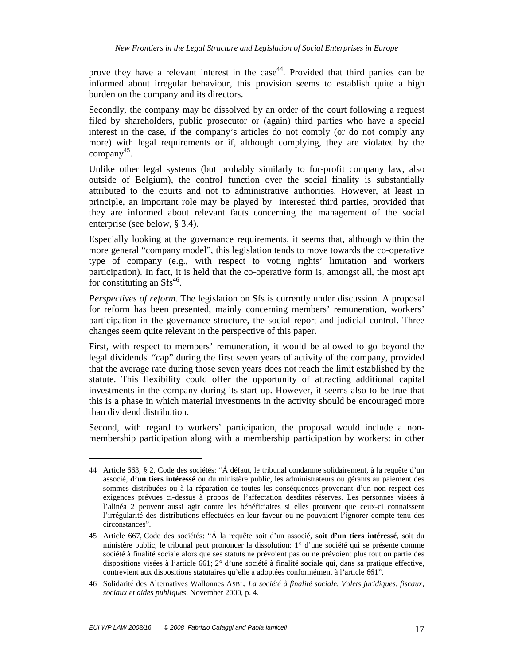prove they have a relevant interest in the  $case<sup>44</sup>$ . Provided that third parties can be informed about irregular behaviour, this provision seems to establish quite a high burden on the company and its directors.

Secondly, the company may be dissolved by an order of the court following a request filed by shareholders, public prosecutor or (again) third parties who have a special interest in the case, if the company's articles do not comply (or do not comply any more) with legal requirements or if, although complying, they are violated by the company<sup>45</sup>.

Unlike other legal systems (but probably similarly to for-profit company law, also outside of Belgium), the control function over the social finality is substantially attributed to the courts and not to administrative authorities. However, at least in principle, an important role may be played by interested third parties, provided that they are informed about relevant facts concerning the management of the social enterprise (see below, § 3.4).

Especially looking at the governance requirements, it seems that, although within the more general "company model", this legislation tends to move towards the co-operative type of company (e.g., with respect to voting rights' limitation and workers participation). In fact, it is held that the co-operative form is, amongst all, the most apt for constituting an  $Sfs^{46}$ .

*Perspectives of reform.* The legislation on Sfs is currently under discussion. A proposal for reform has been presented, mainly concerning members' remuneration, workers' participation in the governance structure, the social report and judicial control. Three changes seem quite relevant in the perspective of this paper.

First, with respect to members' remuneration, it would be allowed to go beyond the legal dividends' "cap" during the first seven years of activity of the company, provided that the average rate during those seven years does not reach the limit established by the statute. This flexibility could offer the opportunity of attracting additional capital investments in the company during its start up. However, it seems also to be true that this is a phase in which material investments in the activity should be encouraged more than dividend distribution.

Second, with regard to workers' participation, the proposal would include a nonmembership participation along with a membership participation by workers: in other

<sup>44</sup> Article 663, § 2, Code des sociétés: "Á défaut, le tribunal condamne solidairement, à la requête d'un associé, **d'un tiers intéressé** ou du ministère public, les administrateurs ou gérants au paiement des sommes distribuées ou à la réparation de toutes les conséquences provenant d'un non-respect des exigences prévues ci-dessus à propos de l'affectation desdites réserves. Les personnes visées à l'alinéa 2 peuvent aussi agir contre les bénéficiaires si elles prouvent que ceux-ci connaissent l'irrégularité des distributions effectuées en leur faveur ou ne pouvaient l'ignorer compte tenu des circonstances".

<sup>45</sup> Article 667, Code des sociétés: "Á la requête soit d'un associé, **soit d'un tiers intéressé**, soit du ministère public, le tribunal peut prononcer la dissolution: 1° d'une société qui se présente comme société à finalité sociale alors que ses statuts ne prévoient pas ou ne prévoient plus tout ou partie des dispositions visées à l'article 661; 2° d'une société à finalité sociale qui, dans sa pratique effective, contrevient aux dispositions statutaires qu'elle a adoptées conformément à l'article 661".

<sup>46</sup> Solidarité des Alternatives Wallonnes ASBL, *La société à finalité sociale. Volets juridiques, fiscaux, sociaux et aides publiques*, November 2000, p. 4.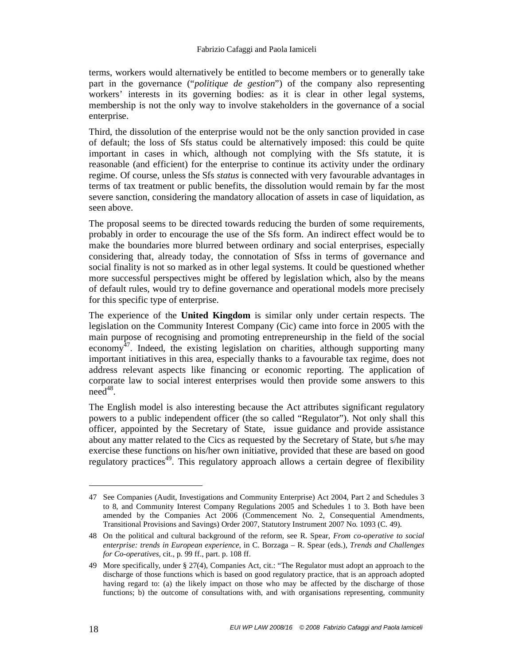terms, workers would alternatively be entitled to become members or to generally take part in the governance ("*politique de gestion*") of the company also representing workers' interests in its governing bodies: as it is clear in other legal systems, membership is not the only way to involve stakeholders in the governance of a social enterprise.

Third, the dissolution of the enterprise would not be the only sanction provided in case of default; the loss of Sfs status could be alternatively imposed: this could be quite important in cases in which, although not complying with the Sfs statute, it is reasonable (and efficient) for the enterprise to continue its activity under the ordinary regime. Of course, unless the Sfs *status* is connected with very favourable advantages in terms of tax treatment or public benefits, the dissolution would remain by far the most severe sanction, considering the mandatory allocation of assets in case of liquidation, as seen above.

The proposal seems to be directed towards reducing the burden of some requirements, probably in order to encourage the use of the Sfs form. An indirect effect would be to make the boundaries more blurred between ordinary and social enterprises, especially considering that, already today, the connotation of Sfss in terms of governance and social finality is not so marked as in other legal systems. It could be questioned whether more successful perspectives might be offered by legislation which, also by the means of default rules, would try to define governance and operational models more precisely for this specific type of enterprise.

The experience of the **United Kingdom** is similar only under certain respects. The legislation on the Community Interest Company (Cic) came into force in 2005 with the main purpose of recognising and promoting entrepreneurship in the field of the social economy<sup>47</sup>. Indeed, the existing legislation on charities, although supporting many important initiatives in this area, especially thanks to a favourable tax regime, does not address relevant aspects like financing or economic reporting. The application of corporate law to social interest enterprises would then provide some answers to this  $\text{need}^{48}$ .

The English model is also interesting because the Act attributes significant regulatory powers to a public independent officer (the so called "Regulator"). Not only shall this officer, appointed by the Secretary of State, issue guidance and provide assistance about any matter related to the Cics as requested by the Secretary of State, but s/he may exercise these functions on his/her own initiative, provided that these are based on good regulatory practices<sup>49</sup>. This regulatory approach allows a certain degree of flexibility

<sup>47</sup> See Companies (Audit, Investigations and Community Enterprise) Act 2004, Part 2 and Schedules 3 to 8, and Community Interest Company Regulations 2005 and Schedules 1 to 3. Both have been amended by the Companies Act 2006 (Commencement No. 2, Consequential Amendments, Transitional Provisions and Savings) Order 2007, Statutory Instrument 2007 No. 1093 (C. 49).

<sup>48</sup> On the political and cultural background of the reform, see R. Spear, *From co-operative to social enterprise: trends in European experience*, in C. Borzaga – R. Spear (eds.), *Trends and Challenges for Co-operatives*, cit., p. 99 ff., part. p. 108 ff.

<sup>49</sup> More specifically, under § 27(4), Companies Act, cit.: "The Regulator must adopt an approach to the discharge of those functions which is based on good regulatory practice, that is an approach adopted having regard to: (a) the likely impact on those who may be affected by the discharge of those functions; b) the outcome of consultations with, and with organisations representing, community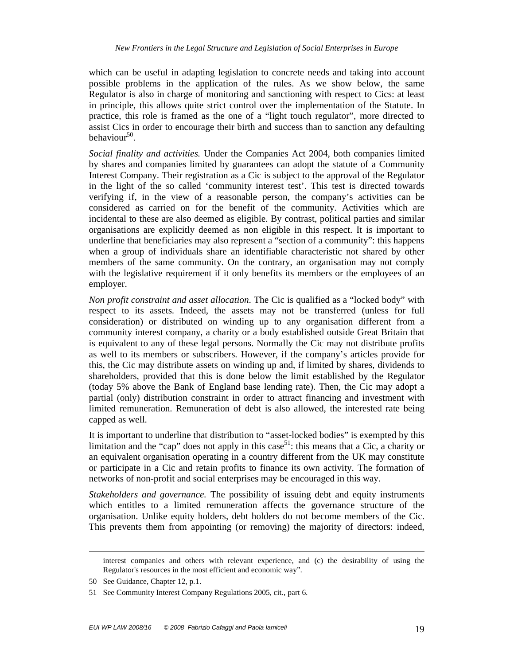which can be useful in adapting legislation to concrete needs and taking into account possible problems in the application of the rules. As we show below, the same Regulator is also in charge of monitoring and sanctioning with respect to Cics: at least in principle, this allows quite strict control over the implementation of the Statute. In practice, this role is framed as the one of a "light touch regulator", more directed to assist Cics in order to encourage their birth and success than to sanction any defaulting behaviour<sup>50</sup>.

*Social finality and activities.* Under the Companies Act 2004, both companies limited by shares and companies limited by guarantees can adopt the statute of a Community Interest Company. Their registration as a Cic is subject to the approval of the Regulator in the light of the so called 'community interest test'. This test is directed towards verifying if, in the view of a reasonable person, the company's activities can be considered as carried on for the benefit of the community. Activities which are incidental to these are also deemed as eligible. By contrast, political parties and similar organisations are explicitly deemed as non eligible in this respect. It is important to underline that beneficiaries may also represent a "section of a community": this happens when a group of individuals share an identifiable characteristic not shared by other members of the same community. On the contrary, an organisation may not comply with the legislative requirement if it only benefits its members or the employees of an employer.

*Non profit constraint and asset allocation*. The Cic is qualified as a "locked body" with respect to its assets. Indeed, the assets may not be transferred (unless for full consideration) or distributed on winding up to any organisation different from a community interest company, a charity or a body established outside Great Britain that is equivalent to any of these legal persons. Normally the Cic may not distribute profits as well to its members or subscribers. However, if the company's articles provide for this, the Cic may distribute assets on winding up and, if limited by shares, dividends to shareholders, provided that this is done below the limit established by the Regulator (today 5% above the Bank of England base lending rate). Then, the Cic may adopt a partial (only) distribution constraint in order to attract financing and investment with limited remuneration. Remuneration of debt is also allowed, the interested rate being capped as well.

It is important to underline that distribution to "asset-locked bodies" is exempted by this limitation and the "cap" does not apply in this case<sup>51</sup>: this means that a Cic, a charity or an equivalent organisation operating in a country different from the UK may constitute or participate in a Cic and retain profits to finance its own activity. The formation of networks of non-profit and social enterprises may be encouraged in this way.

*Stakeholders and governance.* The possibility of issuing debt and equity instruments which entitles to a limited remuneration affects the governance structure of the organisation. Unlike equity holders, debt holders do not become members of the Cic. This prevents them from appointing (or removing) the majority of directors: indeed,

 $\overline{a}$ 

interest companies and others with relevant experience, and (c) the desirability of using the Regulator's resources in the most efficient and economic way".

<sup>50</sup> See Guidance, Chapter 12, p.1.

<sup>51</sup> See Community Interest Company Regulations 2005, cit., part 6.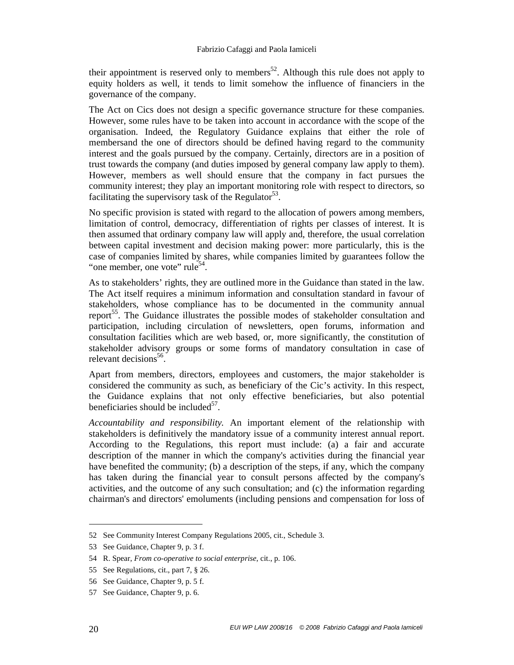their appointment is reserved only to members<sup>52</sup>. Although this rule does not apply to equity holders as well, it tends to limit somehow the influence of financiers in the governance of the company.

The Act on Cics does not design a specific governance structure for these companies. However, some rules have to be taken into account in accordance with the scope of the organisation. Indeed, the Regulatory Guidance explains that either the role of membersand the one of directors should be defined having regard to the community interest and the goals pursued by the company. Certainly, directors are in a position of trust towards the company (and duties imposed by general company law apply to them). However, members as well should ensure that the company in fact pursues the community interest; they play an important monitoring role with respect to directors, so facilitating the supervisory task of the Regulator<sup>53</sup>.

No specific provision is stated with regard to the allocation of powers among members, limitation of control, democracy, differentiation of rights per classes of interest. It is then assumed that ordinary company law will apply and, therefore, the usual correlation between capital investment and decision making power: more particularly, this is the case of companies limited by shares, while companies limited by guarantees follow the "one member, one vote" rule<sup>54</sup>.

As to stakeholders' rights, they are outlined more in the Guidance than stated in the law. The Act itself requires a minimum information and consultation standard in favour of stakeholders, whose compliance has to be documented in the community annual report<sup>55</sup>. The Guidance illustrates the possible modes of stakeholder consultation and participation, including circulation of newsletters, open forums, information and consultation facilities which are web based, or, more significantly, the constitution of stakeholder advisory groups or some forms of mandatory consultation in case of relevant decisions<sup>56</sup>.

Apart from members, directors, employees and customers, the major stakeholder is considered the community as such, as beneficiary of the Cic's activity. In this respect, the Guidance explains that not only effective beneficiaries, but also potential beneficiaries should be included $5^7$ .

*Accountability and responsibility.* An important element of the relationship with stakeholders is definitively the mandatory issue of a community interest annual report. According to the Regulations, this report must include: (a) a fair and accurate description of the manner in which the company's activities during the financial year have benefited the community; (b) a description of the steps, if any, which the company has taken during the financial year to consult persons affected by the company's activities, and the outcome of any such consultation; and (c) the information regarding chairman's and directors' emoluments (including pensions and compensation for loss of

<sup>52</sup> See Community Interest Company Regulations 2005, cit., Schedule 3.

<sup>53</sup> See Guidance, Chapter 9, p. 3 f.

<sup>54</sup> R. Spear, *From co-operative to social enterprise*, cit., p. 106.

<sup>55</sup> See Regulations, cit., part 7, § 26.

<sup>56</sup> See Guidance, Chapter 9, p. 5 f.

<sup>57</sup> See Guidance, Chapter 9, p. 6.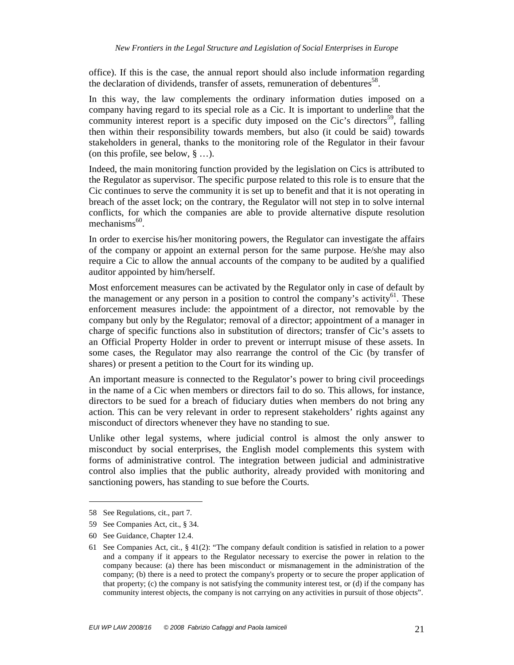office). If this is the case, the annual report should also include information regarding the declaration of dividends, transfer of assets, remuneration of debentures<sup>58</sup>.

In this way, the law complements the ordinary information duties imposed on a company having regard to its special role as a Cic. It is important to underline that the community interest report is a specific duty imposed on the Cic's directors<sup>59</sup>, falling then within their responsibility towards members, but also (it could be said) towards stakeholders in general, thanks to the monitoring role of the Regulator in their favour (on this profile, see below, § …).

Indeed, the main monitoring function provided by the legislation on Cics is attributed to the Regulator as supervisor. The specific purpose related to this role is to ensure that the Cic continues to serve the community it is set up to benefit and that it is not operating in breach of the asset lock; on the contrary, the Regulator will not step in to solve internal conflicts, for which the companies are able to provide alternative dispute resolution mechanisms<sup>60</sup>.

In order to exercise his/her monitoring powers, the Regulator can investigate the affairs of the company or appoint an external person for the same purpose. He/she may also require a Cic to allow the annual accounts of the company to be audited by a qualified auditor appointed by him/herself.

Most enforcement measures can be activated by the Regulator only in case of default by the management or any person in a position to control the company's activity $^{61}$ . These enforcement measures include: the appointment of a director, not removable by the company but only by the Regulator; removal of a director; appointment of a manager in charge of specific functions also in substitution of directors; transfer of Cic's assets to an Official Property Holder in order to prevent or interrupt misuse of these assets. In some cases, the Regulator may also rearrange the control of the Cic (by transfer of shares) or present a petition to the Court for its winding up.

An important measure is connected to the Regulator's power to bring civil proceedings in the name of a Cic when members or directors fail to do so. This allows, for instance, directors to be sued for a breach of fiduciary duties when members do not bring any action. This can be very relevant in order to represent stakeholders' rights against any misconduct of directors whenever they have no standing to sue.

Unlike other legal systems, where judicial control is almost the only answer to misconduct by social enterprises, the English model complements this system with forms of administrative control. The integration between judicial and administrative control also implies that the public authority, already provided with monitoring and sanctioning powers, has standing to sue before the Courts.

<sup>58</sup> See Regulations, cit., part 7.

<sup>59</sup> See Companies Act, cit., § 34.

<sup>60</sup> See Guidance, Chapter 12.4.

<sup>61</sup> See Companies Act, cit., § 41(2): "The company default condition is satisfied in relation to a power and a company if it appears to the Regulator necessary to exercise the power in relation to the company because: (a) there has been misconduct or mismanagement in the administration of the company; (b) there is a need to protect the company's property or to secure the proper application of that property; (c) the company is not satisfying the community interest test, or (d) if the company has community interest objects, the company is not carrying on any activities in pursuit of those objects".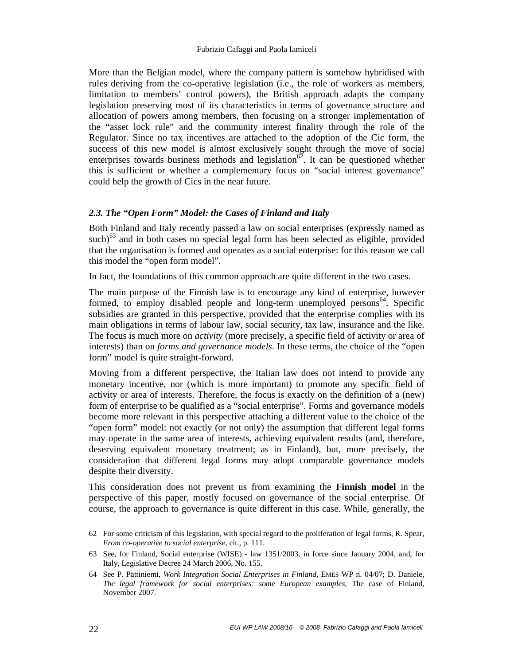More than the Belgian model, where the company pattern is somehow hybridised with rules deriving from the co-operative legislation (i.e., the role of workers as members, limitation to members' control powers), the British approach adapts the company legislation preserving most of its characteristics in terms of governance structure and allocation of powers among members, then focusing on a stronger implementation of the "asset lock rule" and the community interest finality through the role of the Regulator. Since no tax incentives are attached to the adoption of the Cic form, the success of this new model is almost exclusively sought through the move of social enterprises towards business methods and legislation<sup>62</sup>. It can be questioned whether this is sufficient or whether a complementary focus on "social interest governance" could help the growth of Cics in the near future.

#### *2.3. The "Open Form" Model: the Cases of Finland and Italy*

Both Finland and Italy recently passed a law on social enterprises (expressly named as such) $^{63}$  and in both cases no special legal form has been selected as eligible, provided that the organisation is formed and operates as a social enterprise: for this reason we call this model the "open form model".

In fact, the foundations of this common approach are quite different in the two cases.

The main purpose of the Finnish law is to encourage any kind of enterprise, however formed, to employ disabled people and long-term unemployed persons<sup>64</sup>. Specific subsidies are granted in this perspective, provided that the enterprise complies with its main obligations in terms of labour law, social security, tax law, insurance and the like. The focus is much more on *activity* (more precisely, a specific field of activity or area of interests) than on *forms and governance models*. In these terms, the choice of the "open form" model is quite straight-forward.

Moving from a different perspective, the Italian law does not intend to provide any monetary incentive, nor (which is more important) to promote any specific field of activity or area of interests. Therefore, the focus is exactly on the definition of a (new) form of enterprise to be qualified as a "social enterprise". Forms and governance models become more relevant in this perspective attaching a different value to the choice of the "open form" model: not exactly (or not only) the assumption that different legal forms may operate in the same area of interests, achieving equivalent results (and, therefore, deserving equivalent monetary treatment; as in Finland), but, more precisely, the consideration that different legal forms may adopt comparable governance models despite their diversity.

This consideration does not prevent us from examining the **Finnish model** in the perspective of this paper, mostly focused on governance of the social enterprise. Of course, the approach to governance is quite different in this case. While, generally, the

<sup>62</sup> For some criticism of this legislation, with special regard to the proliferation of legal forms, R. Spear, *From co-operative to social enterprise*, cit., p. 111.

<sup>63</sup> See, for Finland, Social enterprise (WISE) - law 1351/2003, in force since January 2004, and, for Italy, Legislative Decree 24 March 2006, No. 155.

<sup>64</sup> See P. Pättiniemi, *Work Integration Social Enterprises in Finland*, EMES WP n. 04/07; D. Daniele, *The legal framework for social enterprises: some European examples*, The case of Finland, November 2007.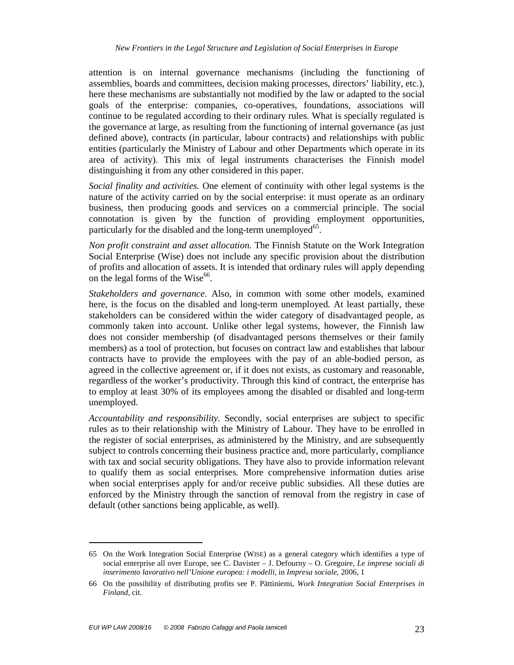attention is on internal governance mechanisms (including the functioning of assemblies, boards and committees, decision making processes, directors' liability, etc.), here these mechanisms are substantially not modified by the law or adapted to the social goals of the enterprise: companies, co-operatives, foundations, associations will continue to be regulated according to their ordinary rules. What is specially regulated is the governance at large, as resulting from the functioning of internal governance (as just defined above), contracts (in particular, labour contracts) and relationships with public entities (particularly the Ministry of Labour and other Departments which operate in its area of activity). This mix of legal instruments characterises the Finnish model distinguishing it from any other considered in this paper.

*Social finality and activities.* One element of continuity with other legal systems is the nature of the activity carried on by the social enterprise: it must operate as an ordinary business, then producing goods and services on a commercial principle. The social connotation is given by the function of providing employment opportunities, particularly for the disabled and the long-term unemployed<sup>65</sup>.

*Non profit constraint and asset allocation*. The Finnish Statute on the Work Integration Social Enterprise (Wise) does not include any specific provision about the distribution of profits and allocation of assets. It is intended that ordinary rules will apply depending on the legal forms of the Wise $^{66}$ .

*Stakeholders and governance.* Also, in common with some other models, examined here, is the focus on the disabled and long-term unemployed. At least partially, these stakeholders can be considered within the wider category of disadvantaged people, as commonly taken into account. Unlike other legal systems, however, the Finnish law does not consider membership (of disadvantaged persons themselves or their family members) as a tool of protection, but focuses on contract law and establishes that labour contracts have to provide the employees with the pay of an able-bodied person, as agreed in the collective agreement or, if it does not exists, as customary and reasonable, regardless of the worker's productivity. Through this kind of contract, the enterprise has to employ at least 30% of its employees among the disabled or disabled and long-term unemployed.

*Accountability and responsibility.* Secondly, social enterprises are subject to specific rules as to their relationship with the Ministry of Labour. They have to be enrolled in the register of social enterprises, as administered by the Ministry, and are subsequently subject to controls concerning their business practice and, more particularly, compliance with tax and social security obligations. They have also to provide information relevant to qualify them as social enterprises. More comprehensive information duties arise when social enterprises apply for and/or receive public subsidies. All these duties are enforced by the Ministry through the sanction of removal from the registry in case of default (other sanctions being applicable, as well).

<sup>65</sup> On the Work Integration Social Enterprise (WISE) as a general category which identifies a type of social enterprise all over Europe, see C. Davister – J. Defourny – O. Gregoire, *Le imprese sociali di inserimento lavorativo nell'Unione europea: i modelli*, in *Impresa sociale*, 2006, 1

<sup>66</sup> On the possibility of distributing profits see P. Pättiniemi, *Work Integration Social Enterprises in Finland*, cit.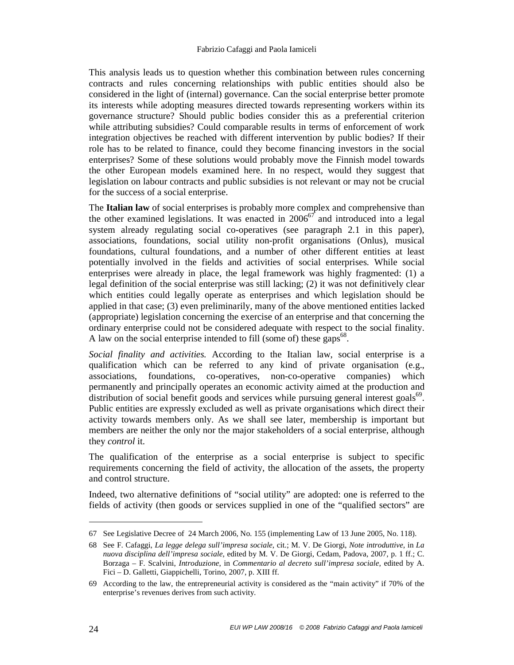This analysis leads us to question whether this combination between rules concerning contracts and rules concerning relationships with public entities should also be considered in the light of (internal) governance. Can the social enterprise better promote its interests while adopting measures directed towards representing workers within its governance structure? Should public bodies consider this as a preferential criterion while attributing subsidies? Could comparable results in terms of enforcement of work integration objectives be reached with different intervention by public bodies? If their role has to be related to finance, could they become financing investors in the social enterprises? Some of these solutions would probably move the Finnish model towards the other European models examined here. In no respect, would they suggest that legislation on labour contracts and public subsidies is not relevant or may not be crucial for the success of a social enterprise.

The **Italian law** of social enterprises is probably more complex and comprehensive than the other examined legislations. It was enacted in  $2006^{67}$  and introduced into a legal system already regulating social co-operatives (see paragraph 2.1 in this paper), associations, foundations, social utility non-profit organisations (Onlus), musical foundations, cultural foundations, and a number of other different entities at least potentially involved in the fields and activities of social enterprises. While social enterprises were already in place, the legal framework was highly fragmented: (1) a legal definition of the social enterprise was still lacking; (2) it was not definitively clear which entities could legally operate as enterprises and which legislation should be applied in that case; (3) even preliminarily, many of the above mentioned entities lacked (appropriate) legislation concerning the exercise of an enterprise and that concerning the ordinary enterprise could not be considered adequate with respect to the social finality. A law on the social enterprise intended to fill (some of) these gaps<sup>68</sup>.

*Social finality and activities.* According to the Italian law, social enterprise is a qualification which can be referred to any kind of private organisation (e.g., associations, foundations, co-operatives, non-co-operative companies) which permanently and principally operates an economic activity aimed at the production and distribution of social benefit goods and services while pursuing general interest goals $^{69}$ . Public entities are expressly excluded as well as private organisations which direct their activity towards members only. As we shall see later, membership is important but members are neither the only nor the major stakeholders of a social enterprise, although they *control* it.

The qualification of the enterprise as a social enterprise is subject to specific requirements concerning the field of activity, the allocation of the assets, the property and control structure.

Indeed, two alternative definitions of "social utility" are adopted: one is referred to the fields of activity (then goods or services supplied in one of the "qualified sectors" are

<sup>67</sup> See Legislative Decree of 24 March 2006, No. 155 (implementing Law of 13 June 2005, No. 118).

<sup>68</sup> See F. Cafaggi, *La legge delega sull'impresa sociale*, cit.; M. V. De Giorgi, *Note introduttive*, in *La nuova disciplina dell'impresa sociale*, edited by M. V. De Giorgi, Cedam, Padova, 2007, p. 1 ff.; C. Borzaga – F. Scalvini, *Introduzione*, in *Commentario al decreto sull'impresa sociale*, edited by A. Fici – D. Galletti, Giappichelli, Torino, 2007, p. XIII ff.

<sup>69</sup> According to the law, the entrepreneurial activity is considered as the "main activity" if 70% of the enterprise's revenues derives from such activity.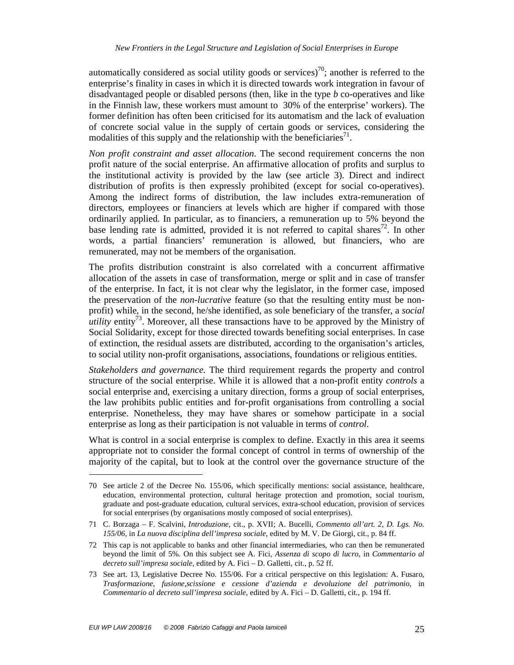automatically considered as social utility goods or services)<sup>70</sup>; another is referred to the enterprise's finality in cases in which it is directed towards work integration in favour of disadvantaged people or disabled persons (then, like in the type *b* co-operatives and like in the Finnish law, these workers must amount to 30% of the enterprise' workers). The former definition has often been criticised for its automatism and the lack of evaluation of concrete social value in the supply of certain goods or services, considering the modalities of this supply and the relationship with the beneficiaries $^{71}$ .

*Non profit constraint and asset allocation*. The second requirement concerns the non profit nature of the social enterprise. An affirmative allocation of profits and surplus to the institutional activity is provided by the law (see article 3). Direct and indirect distribution of profits is then expressly prohibited (except for social co-operatives). Among the indirect forms of distribution, the law includes extra-remuneration of directors, employees or financiers at levels which are higher if compared with those ordinarily applied. In particular, as to financiers, a remuneration up to 5% beyond the base lending rate is admitted, provided it is not referred to capital shares<sup>72</sup>. In other words, a partial financiers' remuneration is allowed, but financiers, who are remunerated, may not be members of the organisation.

The profits distribution constraint is also correlated with a concurrent affirmative allocation of the assets in case of transformation, merge or split and in case of transfer of the enterprise. In fact, it is not clear why the legislator, in the former case, imposed the preservation of the *non-lucrative* feature (so that the resulting entity must be nonprofit) while, in the second, he/she identified, as sole beneficiary of the transfer, a *social utility* entity<sup>73</sup>. Moreover, all these transactions have to be approved by the Ministry of Social Solidarity, except for those directed towards benefiting social enterprises. In case of extinction, the residual assets are distributed, according to the organisation's articles, to social utility non-profit organisations, associations, foundations or religious entities.

*Stakeholders and governance.* The third requirement regards the property and control structure of the social enterprise. While it is allowed that a non-profit entity *controls* a social enterprise and, exercising a unitary direction, forms a group of social enterprises, the law prohibits public entities and for-profit organisations from controlling a social enterprise. Nonetheless, they may have shares or somehow participate in a social enterprise as long as their participation is not valuable in terms of *control*.

What is control in a social enterprise is complex to define. Exactly in this area it seems appropriate not to consider the formal concept of control in terms of ownership of the majority of the capital, but to look at the control over the governance structure of the

<sup>70</sup> See article 2 of the Decree No. 155/06, which specifically mentions: social assistance, healthcare, education, environmental protection, cultural heritage protection and promotion, social tourism, graduate and post-graduate education, cultural services, extra-school education, provision of services for social enterprises (by organisations mostly composed of social enterprises).

<sup>71</sup> C. Borzaga – F. Scalvini, *Introduzione*, cit., p. XVII; A. Bucelli, *Commento all'art. 2, D. Lgs. No. 155/06*, in *La nuova disciplina dell'impresa sociale*, edited by M. V. De Giorgi, cit., p. 84 ff.

<sup>72</sup> This cap is not applicable to banks and other financial intermediaries, who can then be remunerated beyond the limit of 5%. On this subject see A. Fici, *Assenza di scopo di lucro*, in *Commentario al decreto sull'impresa sociale*, edited by A. Fici – D. Galletti, cit., p. 52 ff.

<sup>73</sup> See art. 13, Legislative Decree No. 155/06. For a critical perspective on this legislation: A. Fusaro, *Trasformazione, fusione,scissione e cessione d'azienda e devoluzione del patrimonio*, in *Commentario al decreto sull'impresa sociale*, edited by A. Fici – D. Galletti, cit., p. 194 ff.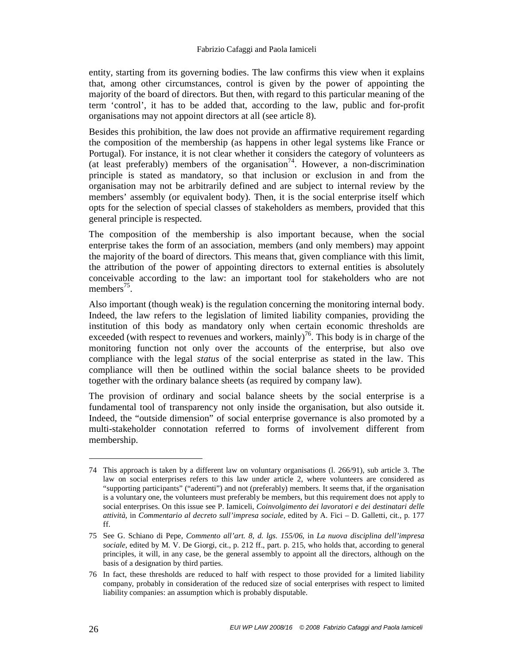entity, starting from its governing bodies. The law confirms this view when it explains that, among other circumstances, control is given by the power of appointing the majority of the board of directors. But then, with regard to this particular meaning of the term 'control', it has to be added that, according to the law, public and for-profit organisations may not appoint directors at all (see article 8).

Besides this prohibition, the law does not provide an affirmative requirement regarding the composition of the membership (as happens in other legal systems like France or Portugal). For instance, it is not clear whether it considers the category of volunteers as (at least preferably) members of the organisation<sup>74</sup>. However, a non-discrimination principle is stated as mandatory, so that inclusion or exclusion in and from the organisation may not be arbitrarily defined and are subject to internal review by the members' assembly (or equivalent body). Then, it is the social enterprise itself which opts for the selection of special classes of stakeholders as members, provided that this general principle is respected.

The composition of the membership is also important because, when the social enterprise takes the form of an association, members (and only members) may appoint the majority of the board of directors. This means that, given compliance with this limit, the attribution of the power of appointing directors to external entities is absolutely conceivable according to the law: an important tool for stakeholders who are not members<sup>75</sup>.

Also important (though weak) is the regulation concerning the monitoring internal body. Indeed, the law refers to the legislation of limited liability companies, providing the institution of this body as mandatory only when certain economic thresholds are exceeded (with respect to revenues and workers, mainly)<sup>76</sup>. This body is in charge of the monitoring function not only over the accounts of the enterprise, but also ove compliance with the legal *status* of the social enterprise as stated in the law. This compliance will then be outlined within the social balance sheets to be provided together with the ordinary balance sheets (as required by company law).

The provision of ordinary and social balance sheets by the social enterprise is a fundamental tool of transparency not only inside the organisation, but also outside it. Indeed, the "outside dimension" of social enterprise governance is also promoted by a multi-stakeholder connotation referred to forms of involvement different from membership.

<sup>74</sup> This approach is taken by a different law on voluntary organisations (l. 266/91), sub article 3. The law on social enterprises refers to this law under article 2, where volunteers are considered as "supporting participants" ("aderenti") and not (preferably) members. It seems that, if the organisation is a voluntary one, the volunteers must preferably be members, but this requirement does not apply to social enterprises. On this issue see P. Iamiceli, *Coinvolgimento dei lavoratori e dei destinatari delle attività*, in *Commentario al decreto sull'impresa sociale*, edited by A. Fici – D. Galletti, cit., p. 177 ff.

<sup>75</sup> See G. Schiano di Pepe, *Commento all'art. 8, d. lgs. 155/06*, in *La nuova disciplina dell'impresa sociale*, edited by M. V. De Giorgi, cit., p. 212 ff., part. p. 215, who holds that, according to general principles, it will, in any case, be the general assembly to appoint all the directors, although on the basis of a designation by third parties.

<sup>76</sup> In fact, these thresholds are reduced to half with respect to those provided for a limited liability company, probably in consideration of the reduced size of social enterprises with respect to limited liability companies: an assumption which is probably disputable.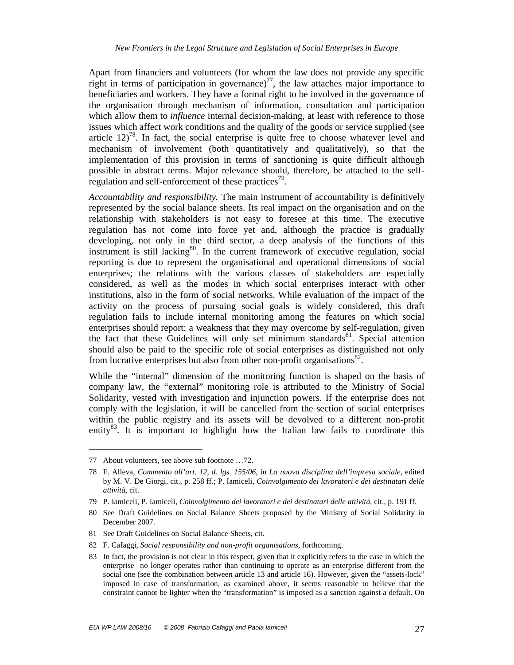Apart from financiers and volunteers (for whom the law does not provide any specific right in terms of participation in governance)<sup>77</sup>, the law attaches major importance to beneficiaries and workers. They have a formal right to be involved in the governance of the organisation through mechanism of information, consultation and participation which allow them to *influence* internal decision-making, at least with reference to those issues which affect work conditions and the quality of the goods or service supplied (see article  $12<sup>78</sup>$ . In fact, the social enterprise is quite free to choose whatever level and mechanism of involvement (both quantitatively and qualitatively), so that the implementation of this provision in terms of sanctioning is quite difficult although possible in abstract terms. Major relevance should, therefore, be attached to the selfregulation and self-enforcement of these practices<sup>79</sup>.

*Accountability and responsibility.* The main instrument of accountability is definitively represented by the social balance sheets. Its real impact on the organisation and on the relationship with stakeholders is not easy to foresee at this time. The executive regulation has not come into force yet and, although the practice is gradually developing, not only in the third sector, a deep analysis of the functions of this instrument is still lacking<sup>80</sup>. In the current framework of executive regulation, social reporting is due to represent the organisational and operational dimensions of social enterprises; the relations with the various classes of stakeholders are especially considered, as well as the modes in which social enterprises interact with other institutions, also in the form of social networks. While evaluation of the impact of the activity on the process of pursuing social goals is widely considered, this draft regulation fails to include internal monitoring among the features on which social enterprises should report: a weakness that they may overcome by self-regulation, given the fact that these Guidelines will only set minimum standards $81$ . Special attention should also be paid to the specific role of social enterprises as distinguished not only from lucrative enterprises but also from other non-profit organisations  $82$ .

While the "internal" dimension of the monitoring function is shaped on the basis of company law, the "external" monitoring role is attributed to the Ministry of Social Solidarity, vested with investigation and injunction powers. If the enterprise does not comply with the legislation, it will be cancelled from the section of social enterprises within the public registry and its assets will be devolved to a different non-profit entity<sup>83</sup>. It is important to highlight how the Italian law fails to coordinate this

<sup>77</sup> About volunteers, see above sub footnote …72.

<sup>78</sup> F. Alleva, *Commento all'art. 12, d. lgs. 155/06*, in *La nuova disciplina dell'impresa sociale*, edited by M. V. De Giorgi, cit., p. 258 ff.; P. Iamiceli, *Coinvolgimento dei lavoratori e dei destinatari delle attività*, cit.

<sup>79</sup> P. Iamiceli, P. Iamiceli, *Coinvolgimento dei lavoratori e dei destinatari delle attività*, cit., p. 191 ff.

<sup>80</sup> See Draft Guidelines on Social Balance Sheets proposed by the Ministry of Social Solidarity in December 2007.

<sup>81</sup> See Draft Guidelines on Social Balance Sheets, cit.

<sup>82</sup> F. Cafaggi, *Social responsibility and non-profit organisations*, forthcoming.

<sup>83</sup> In fact, the provision is not clear in this respect, given that it explicitly refers to the case in which the enterprise no longer operates rather than continuing to operate as an enterprise different from the social one (see the combination between article 13 and article 16). However, given the "assets-lock" imposed in case of transformation, as examined above, it seems reasonable to believe that the constraint cannot be lighter when the "transformation" is imposed as a sanction against a default. On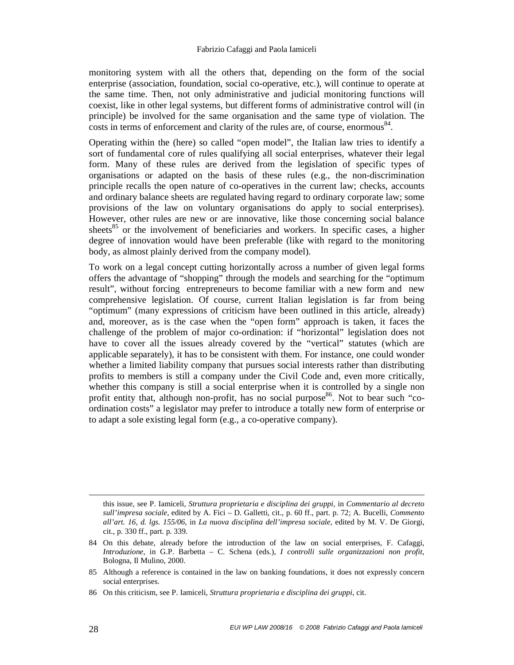#### Fabrizio Cafaggi and Paola Iamiceli

monitoring system with all the others that, depending on the form of the social enterprise (association, foundation, social co-operative, etc.), will continue to operate at the same time. Then, not only administrative and judicial monitoring functions will coexist, like in other legal systems, but different forms of administrative control will (in principle) be involved for the same organisation and the same type of violation. The  $\frac{1}{\csc}$  costs in terms of enforcement and clarity of the rules are, of course, enormous<sup>84</sup>.

Operating within the (here) so called "open model", the Italian law tries to identify a sort of fundamental core of rules qualifying all social enterprises, whatever their legal form. Many of these rules are derived from the legislation of specific types of organisations or adapted on the basis of these rules (e.g., the non-discrimination principle recalls the open nature of co-operatives in the current law; checks, accounts and ordinary balance sheets are regulated having regard to ordinary corporate law; some provisions of the law on voluntary organisations do apply to social enterprises). However, other rules are new or are innovative, like those concerning social balance sheets<sup>85</sup> or the involvement of beneficiaries and workers. In specific cases, a higher degree of innovation would have been preferable (like with regard to the monitoring body, as almost plainly derived from the company model).

To work on a legal concept cutting horizontally across a number of given legal forms offers the advantage of "shopping" through the models and searching for the "optimum result", without forcing entrepreneurs to become familiar with a new form and new comprehensive legislation. Of course, current Italian legislation is far from being "optimum" (many expressions of criticism have been outlined in this article, already) and, moreover, as is the case when the "open form" approach is taken, it faces the challenge of the problem of major co-ordination: if "horizontal" legislation does not have to cover all the issues already covered by the "vertical" statutes (which are applicable separately), it has to be consistent with them. For instance, one could wonder whether a limited liability company that pursues social interests rather than distributing profits to members is still a company under the Civil Code and, even more critically, whether this company is still a social enterprise when it is controlled by a single non profit entity that, although non-profit, has no social purpose  $86$ . Not to bear such "coordination costs" a legislator may prefer to introduce a totally new form of enterprise or to adapt a sole existing legal form (e.g., a co-operative company).

 $\overline{a}$ 

this issue, see P. Iamiceli, *Struttura proprietaria e disciplina dei gruppi*, in *Commentario al decreto sull'impresa sociale*, edited by A. Fici – D. Galletti, cit., p. 60 ff., part. p. 72; A. Bucelli, *Commento all'art. 16, d. lgs. 155/06*, in *La nuova disciplina dell'impresa sociale*, edited by M. V. De Giorgi, cit., p. 330 ff., part. p. 339.

<sup>84</sup> On this debate, already before the introduction of the law on social enterprises, F. Cafaggi, *Introduzione*, in G.P. Barbetta – C. Schena (eds.), *I controlli sulle organizzazioni non profit*, Bologna, Il Mulino, 2000.

<sup>85</sup> Although a reference is contained in the law on banking foundations, it does not expressly concern social enterprises.

<sup>86</sup> On this criticism, see P. Iamiceli, *Struttura proprietaria e disciplina dei gruppi*, cit.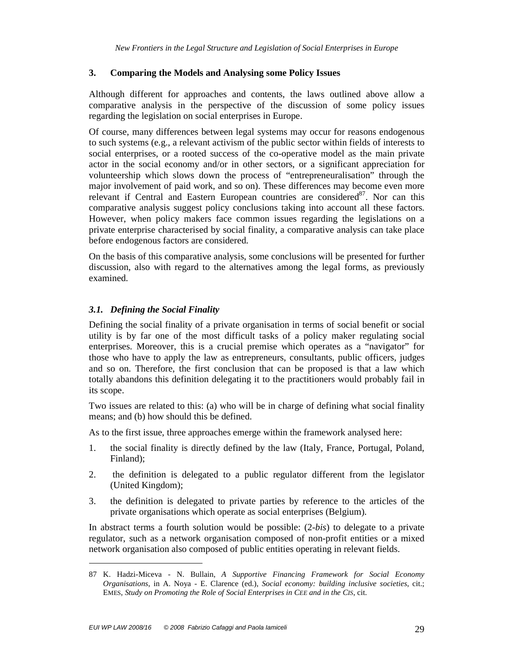#### **3. Comparing the Models and Analysing some Policy Issues**

Although different for approaches and contents, the laws outlined above allow a comparative analysis in the perspective of the discussion of some policy issues regarding the legislation on social enterprises in Europe.

Of course, many differences between legal systems may occur for reasons endogenous to such systems (e.g., a relevant activism of the public sector within fields of interests to social enterprises, or a rooted success of the co-operative model as the main private actor in the social economy and/or in other sectors, or a significant appreciation for volunteership which slows down the process of "entrepreneuralisation" through the major involvement of paid work, and so on). These differences may become even more relevant if Central and Eastern European countries are considered $87$ . Nor can this comparative analysis suggest policy conclusions taking into account all these factors. However, when policy makers face common issues regarding the legislations on a private enterprise characterised by social finality, a comparative analysis can take place before endogenous factors are considered.

On the basis of this comparative analysis, some conclusions will be presented for further discussion, also with regard to the alternatives among the legal forms, as previously examined.

#### *3.1. Defining the Social Finality*

Defining the social finality of a private organisation in terms of social benefit or social utility is by far one of the most difficult tasks of a policy maker regulating social enterprises. Moreover, this is a crucial premise which operates as a "navigator" for those who have to apply the law as entrepreneurs, consultants, public officers, judges and so on. Therefore, the first conclusion that can be proposed is that a law which totally abandons this definition delegating it to the practitioners would probably fail in its scope.

Two issues are related to this: (a) who will be in charge of defining what social finality means; and (b) how should this be defined.

As to the first issue, three approaches emerge within the framework analysed here:

- 1. the social finality is directly defined by the law (Italy, France, Portugal, Poland, Finland);
- 2. the definition is delegated to a public regulator different from the legislator (United Kingdom);
- 3. the definition is delegated to private parties by reference to the articles of the private organisations which operate as social enterprises (Belgium).

In abstract terms a fourth solution would be possible: (2-*bis*) to delegate to a private regulator, such as a network organisation composed of non-profit entities or a mixed network organisation also composed of public entities operating in relevant fields.

<sup>87</sup> K. Hadzi-Miceva - N. Bullain, *A Supportive Financing Framework for Social Economy Organisations*, in A. Noya - E. Clarence (ed.), *Social economy: building inclusive societies*, cit.; EMES, *Study on Promoting the Role of Social Enterprises in CEE and in the CIS*, cit.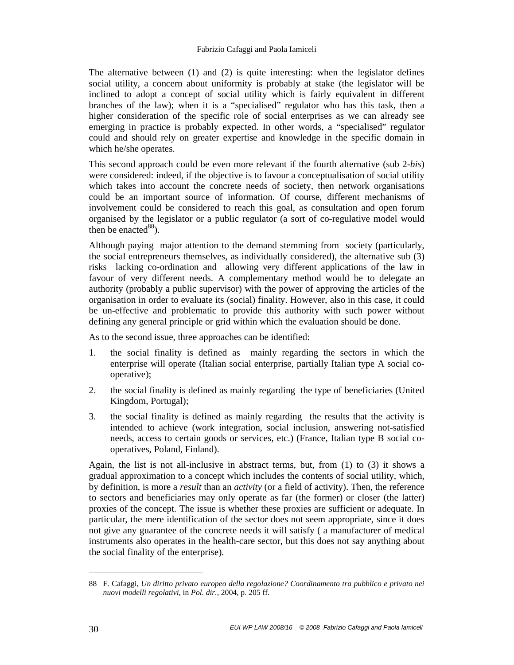#### Fabrizio Cafaggi and Paola Iamiceli

The alternative between (1) and (2) is quite interesting: when the legislator defines social utility, a concern about uniformity is probably at stake (the legislator will be inclined to adopt a concept of social utility which is fairly equivalent in different branches of the law); when it is a "specialised" regulator who has this task, then a higher consideration of the specific role of social enterprises as we can already see emerging in practice is probably expected. In other words, a "specialised" regulator could and should rely on greater expertise and knowledge in the specific domain in which he/she operates.

This second approach could be even more relevant if the fourth alternative (sub 2-*bis*) were considered: indeed, if the objective is to favour a conceptualisation of social utility which takes into account the concrete needs of society, then network organisations could be an important source of information. Of course, different mechanisms of involvement could be considered to reach this goal, as consultation and open forum organised by the legislator or a public regulator (a sort of co-regulative model would then be enacted  $88$ ).

Although paying major attention to the demand stemming from society (particularly, the social entrepreneurs themselves, as individually considered), the alternative sub (3) risks lacking co-ordination and allowing very different applications of the law in favour of very different needs. A complementary method would be to delegate an authority (probably a public supervisor) with the power of approving the articles of the organisation in order to evaluate its (social) finality. However, also in this case, it could be un-effective and problematic to provide this authority with such power without defining any general principle or grid within which the evaluation should be done.

As to the second issue, three approaches can be identified:

- 1. the social finality is defined as mainly regarding the sectors in which the enterprise will operate (Italian social enterprise, partially Italian type A social cooperative);
- 2. the social finality is defined as mainly regarding the type of beneficiaries (United Kingdom, Portugal);
- 3. the social finality is defined as mainly regarding the results that the activity is intended to achieve (work integration, social inclusion, answering not-satisfied needs, access to certain goods or services, etc.) (France, Italian type B social cooperatives, Poland, Finland).

Again, the list is not all-inclusive in abstract terms, but, from (1) to (3) it shows a gradual approximation to a concept which includes the contents of social utility, which, by definition, is more a *result* than an *activity* (or a field of activity). Then, the reference to sectors and beneficiaries may only operate as far (the former) or closer (the latter) proxies of the concept. The issue is whether these proxies are sufficient or adequate. In particular, the mere identification of the sector does not seem appropriate, since it does not give any guarantee of the concrete needs it will satisfy ( a manufacturer of medical instruments also operates in the health-care sector, but this does not say anything about the social finality of the enterprise).

<sup>88</sup> F. Cafaggi, *Un diritto privato europeo della regolazione? Coordinamento tra pubblico e privato nei nuovi modelli regolativi*, in *Pol. dir.*, 2004, p. 205 ff.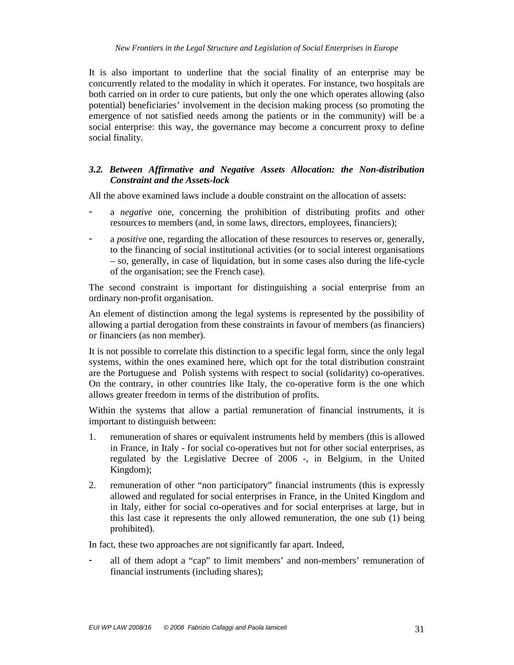It is also important to underline that the social finality of an enterprise may be concurrently related to the modality in which it operates. For instance, two hospitals are both carried on in order to cure patients, but only the one which operates allowing (also potential) beneficiaries' involvement in the decision making process (so promoting the emergence of not satisfied needs among the patients or in the community) will be a social enterprise: this way, the governance may become a concurrent proxy to define social finality.

#### *3.2. Between Affirmative and Negative Assets Allocation: the Non-distribution Constraint and the Assets-lock*

All the above examined laws include a double constraint on the allocation of assets:

- a *negative* one, concerning the prohibition of distributing profits and other resources to members (and, in some laws, directors, employees, financiers);
- a *positive* one, regarding the allocation of these resources to reserves or, generally, to the financing of social institutional activities (or to social interest organisations – so, generally, in case of liquidation, but in some cases also during the life-cycle of the organisation; see the French case).

The second constraint is important for distinguishing a social enterprise from an ordinary non-profit organisation.

An element of distinction among the legal systems is represented by the possibility of allowing a partial derogation from these constraints in favour of members (as financiers) or financiers (as non member).

It is not possible to correlate this distinction to a specific legal form, since the only legal systems, within the ones examined here, which opt for the total distribution constraint are the Portuguese and Polish systems with respect to social (solidarity) co-operatives. On the contrary, in other countries like Italy, the co-operative form is the one which allows greater freedom in terms of the distribution of profits.

Within the systems that allow a partial remuneration of financial instruments, it is important to distinguish between:

- 1. remuneration of shares or equivalent instruments held by members (this is allowed in France, in Italy - for social co-operatives but not for other social enterprises, as regulated by the Legislative Decree of 2006 -, in Belgium, in the United Kingdom);
- 2. remuneration of other "non participatory" financial instruments (this is expressly allowed and regulated for social enterprises in France, in the United Kingdom and in Italy, either for social co-operatives and for social enterprises at large, but in this last case it represents the only allowed remuneration, the one sub (1) being prohibited).

In fact, these two approaches are not significantly far apart. Indeed,

- all of them adopt a "cap" to limit members' and non-members' remuneration of financial instruments (including shares);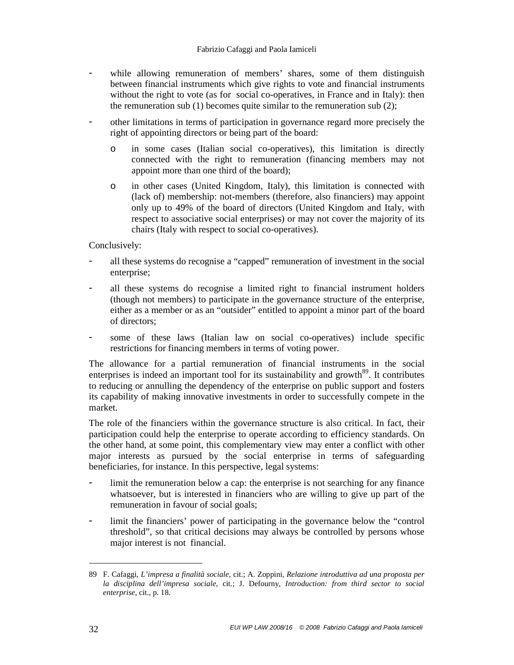- while allowing remuneration of members' shares, some of them distinguish between financial instruments which give rights to vote and financial instruments without the right to vote (as for social co-operatives, in France and in Italy): then the remuneration sub (1) becomes quite similar to the remuneration sub (2);
- other limitations in terms of participation in governance regard more precisely the right of appointing directors or being part of the board:
	- o in some cases (Italian social co-operatives), this limitation is directly connected with the right to remuneration (financing members may not appoint more than one third of the board);
	- o in other cases (United Kingdom, Italy), this limitation is connected with (lack of) membership: not-members (therefore, also financiers) may appoint only up to 49% of the board of directors (United Kingdom and Italy, with respect to associative social enterprises) or may not cover the majority of its chairs (Italy with respect to social co-operatives).

Conclusively:

- all these systems do recognise a "capped" remuneration of investment in the social enterprise;
- all these systems do recognise a limited right to financial instrument holders (though not members) to participate in the governance structure of the enterprise, either as a member or as an "outsider" entitled to appoint a minor part of the board of directors;
- some of these laws (Italian law on social co-operatives) include specific restrictions for financing members in terms of voting power.

The allowance for a partial remuneration of financial instruments in the social enterprises is indeed an important tool for its sustainability and growth<sup>89</sup>. It contributes to reducing or annulling the dependency of the enterprise on public support and fosters its capability of making innovative investments in order to successfully compete in the market.

The role of the financiers within the governance structure is also critical. In fact, their participation could help the enterprise to operate according to efficiency standards. On the other hand, at some point, this complementary view may enter a conflict with other major interests as pursued by the social enterprise in terms of safeguarding beneficiaries, for instance. In this perspective, legal systems:

- limit the remuneration below a cap: the enterprise is not searching for any finance whatsoever, but is interested in financiers who are willing to give up part of the remuneration in favour of social goals;
- limit the financiers' power of participating in the governance below the "control threshold", so that critical decisions may always be controlled by persons whose major interest is not financial.

<sup>89</sup> F. Cafaggi, *L'impresa a finalità sociale*, cit.; A. Zoppini, *Relazione introduttiva ad una proposta per la disciplina dell'impresa sociale*, cit.; J. Defourny, *Introduction: from third sector to social enterprise*, cit., p. 18.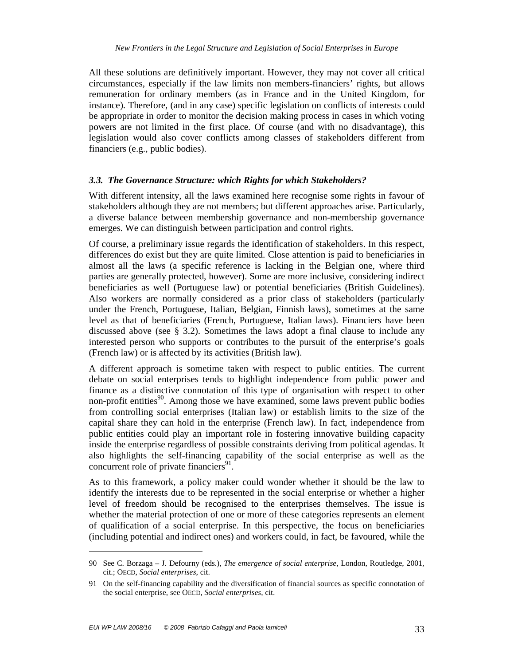All these solutions are definitively important. However, they may not cover all critical circumstances, especially if the law limits non members-financiers' rights, but allows remuneration for ordinary members (as in France and in the United Kingdom, for instance). Therefore, (and in any case) specific legislation on conflicts of interests could be appropriate in order to monitor the decision making process in cases in which voting powers are not limited in the first place. Of course (and with no disadvantage), this legislation would also cover conflicts among classes of stakeholders different from financiers (e.g., public bodies).

#### *3.3. The Governance Structure: which Rights for which Stakeholders?*

With different intensity, all the laws examined here recognise some rights in favour of stakeholders although they are not members; but different approaches arise. Particularly, a diverse balance between membership governance and non-membership governance emerges. We can distinguish between participation and control rights.

Of course, a preliminary issue regards the identification of stakeholders. In this respect, differences do exist but they are quite limited. Close attention is paid to beneficiaries in almost all the laws (a specific reference is lacking in the Belgian one, where third parties are generally protected, however). Some are more inclusive, considering indirect beneficiaries as well (Portuguese law) or potential beneficiaries (British Guidelines). Also workers are normally considered as a prior class of stakeholders (particularly under the French, Portuguese, Italian, Belgian, Finnish laws), sometimes at the same level as that of beneficiaries (French, Portuguese, Italian laws). Financiers have been discussed above (see  $\S$  3.2). Sometimes the laws adopt a final clause to include any interested person who supports or contributes to the pursuit of the enterprise's goals (French law) or is affected by its activities (British law).

A different approach is sometime taken with respect to public entities. The current debate on social enterprises tends to highlight independence from public power and finance as a distinctive connotation of this type of organisation with respect to other non-profit entities<sup>90</sup>. Among those we have examined, some laws prevent public bodies from controlling social enterprises (Italian law) or establish limits to the size of the capital share they can hold in the enterprise (French law). In fact, independence from public entities could play an important role in fostering innovative building capacity inside the enterprise regardless of possible constraints deriving from political agendas. It also highlights the self-financing capability of the social enterprise as well as the concurrent role of private financiers $91$ .

As to this framework, a policy maker could wonder whether it should be the law to identify the interests due to be represented in the social enterprise or whether a higher level of freedom should be recognised to the enterprises themselves. The issue is whether the material protection of one or more of these categories represents an element of qualification of a social enterprise. In this perspective, the focus on beneficiaries (including potential and indirect ones) and workers could, in fact, be favoured, while the

<sup>90</sup> See C. Borzaga – J. Defourny (eds.), *The emergence of social enterprise*, London, Routledge, 2001, cit.; OECD, *Social enterprises*, cit.

<sup>91</sup> On the self-financing capability and the diversification of financial sources as specific connotation of the social enterprise, see OECD, *Social enterprises*, cit.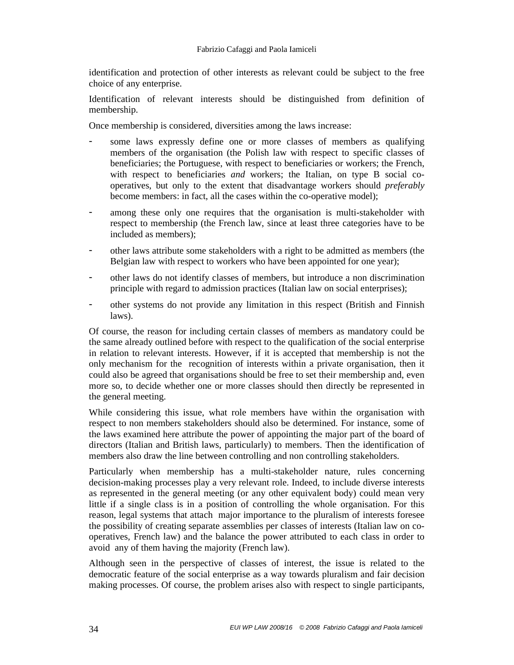identification and protection of other interests as relevant could be subject to the free choice of any enterprise.

Identification of relevant interests should be distinguished from definition of membership.

Once membership is considered, diversities among the laws increase:

- some laws expressly define one or more classes of members as qualifying members of the organisation (the Polish law with respect to specific classes of beneficiaries; the Portuguese, with respect to beneficiaries or workers; the French, with respect to beneficiaries *and* workers; the Italian, on type B social cooperatives, but only to the extent that disadvantage workers should *preferably* become members: in fact, all the cases within the co-operative model);
- among these only one requires that the organisation is multi-stakeholder with respect to membership (the French law, since at least three categories have to be included as members);
- other laws attribute some stakeholders with a right to be admitted as members (the Belgian law with respect to workers who have been appointed for one year);
- other laws do not identify classes of members, but introduce a non discrimination principle with regard to admission practices (Italian law on social enterprises);
- other systems do not provide any limitation in this respect (British and Finnish laws).

Of course, the reason for including certain classes of members as mandatory could be the same already outlined before with respect to the qualification of the social enterprise in relation to relevant interests. However, if it is accepted that membership is not the only mechanism for the recognition of interests within a private organisation, then it could also be agreed that organisations should be free to set their membership and, even more so, to decide whether one or more classes should then directly be represented in the general meeting.

While considering this issue, what role members have within the organisation with respect to non members stakeholders should also be determined. For instance, some of the laws examined here attribute the power of appointing the major part of the board of directors (Italian and British laws, particularly) to members. Then the identification of members also draw the line between controlling and non controlling stakeholders.

Particularly when membership has a multi-stakeholder nature, rules concerning decision-making processes play a very relevant role. Indeed, to include diverse interests as represented in the general meeting (or any other equivalent body) could mean very little if a single class is in a position of controlling the whole organisation. For this reason, legal systems that attach major importance to the pluralism of interests foresee the possibility of creating separate assemblies per classes of interests (Italian law on cooperatives, French law) and the balance the power attributed to each class in order to avoid any of them having the majority (French law).

Although seen in the perspective of classes of interest, the issue is related to the democratic feature of the social enterprise as a way towards pluralism and fair decision making processes. Of course, the problem arises also with respect to single participants,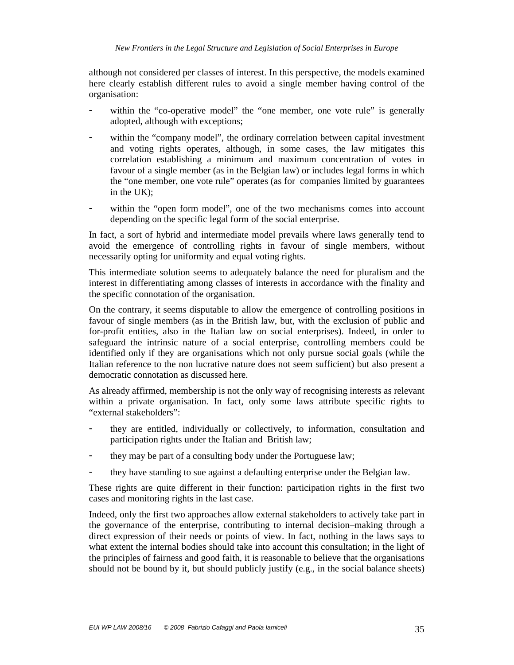although not considered per classes of interest. In this perspective, the models examined here clearly establish different rules to avoid a single member having control of the organisation:

- within the "co-operative model" the "one member, one vote rule" is generally adopted, although with exceptions;
- within the "company model", the ordinary correlation between capital investment and voting rights operates, although, in some cases, the law mitigates this correlation establishing a minimum and maximum concentration of votes in favour of a single member (as in the Belgian law) or includes legal forms in which the "one member, one vote rule" operates (as for companies limited by guarantees in the UK);
- within the "open form model", one of the two mechanisms comes into account depending on the specific legal form of the social enterprise.

In fact, a sort of hybrid and intermediate model prevails where laws generally tend to avoid the emergence of controlling rights in favour of single members, without necessarily opting for uniformity and equal voting rights.

This intermediate solution seems to adequately balance the need for pluralism and the interest in differentiating among classes of interests in accordance with the finality and the specific connotation of the organisation.

On the contrary, it seems disputable to allow the emergence of controlling positions in favour of single members (as in the British law, but, with the exclusion of public and for-profit entities, also in the Italian law on social enterprises). Indeed, in order to safeguard the intrinsic nature of a social enterprise, controlling members could be identified only if they are organisations which not only pursue social goals (while the Italian reference to the non lucrative nature does not seem sufficient) but also present a democratic connotation as discussed here.

As already affirmed, membership is not the only way of recognising interests as relevant within a private organisation. In fact, only some laws attribute specific rights to "external stakeholders":

- they are entitled, individually or collectively, to information, consultation and participation rights under the Italian and British law;
- they may be part of a consulting body under the Portuguese law;
- they have standing to sue against a defaulting enterprise under the Belgian law.

These rights are quite different in their function: participation rights in the first two cases and monitoring rights in the last case.

Indeed, only the first two approaches allow external stakeholders to actively take part in the governance of the enterprise, contributing to internal decision–making through a direct expression of their needs or points of view. In fact, nothing in the laws says to what extent the internal bodies should take into account this consultation; in the light of the principles of fairness and good faith, it is reasonable to believe that the organisations should not be bound by it, but should publicly justify (e.g., in the social balance sheets)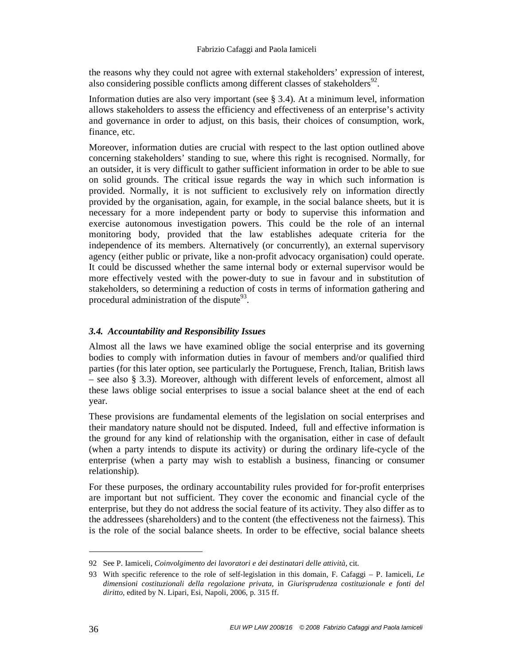the reasons why they could not agree with external stakeholders' expression of interest, also considering possible conflicts among different classes of stakeholders $^{92}$ .

Information duties are also very important (see § 3.4). At a minimum level, information allows stakeholders to assess the efficiency and effectiveness of an enterprise's activity and governance in order to adjust, on this basis, their choices of consumption, work, finance, etc.

Moreover, information duties are crucial with respect to the last option outlined above concerning stakeholders' standing to sue, where this right is recognised. Normally, for an outsider, it is very difficult to gather sufficient information in order to be able to sue on solid grounds. The critical issue regards the way in which such information is provided. Normally, it is not sufficient to exclusively rely on information directly provided by the organisation, again, for example, in the social balance sheets, but it is necessary for a more independent party or body to supervise this information and exercise autonomous investigation powers. This could be the role of an internal monitoring body, provided that the law establishes adequate criteria for the independence of its members. Alternatively (or concurrently), an external supervisory agency (either public or private, like a non-profit advocacy organisation) could operate. It could be discussed whether the same internal body or external supervisor would be more effectively vested with the power-duty to sue in favour and in substitution of stakeholders, so determining a reduction of costs in terms of information gathering and procedural administration of the dispute $93$ .

# *3.4. Accountability and Responsibility Issues*

Almost all the laws we have examined oblige the social enterprise and its governing bodies to comply with information duties in favour of members and/or qualified third parties (for this later option, see particularly the Portuguese, French, Italian, British laws – see also § 3.3). Moreover, although with different levels of enforcement, almost all these laws oblige social enterprises to issue a social balance sheet at the end of each year.

These provisions are fundamental elements of the legislation on social enterprises and their mandatory nature should not be disputed. Indeed, full and effective information is the ground for any kind of relationship with the organisation, either in case of default (when a party intends to dispute its activity) or during the ordinary life-cycle of the enterprise (when a party may wish to establish a business, financing or consumer relationship).

For these purposes, the ordinary accountability rules provided for for-profit enterprises are important but not sufficient. They cover the economic and financial cycle of the enterprise, but they do not address the social feature of its activity. They also differ as to the addressees (shareholders) and to the content (the effectiveness not the fairness). This is the role of the social balance sheets. In order to be effective, social balance sheets

<sup>92</sup> See P. Iamiceli, *Coinvolgimento dei lavoratori e dei destinatari delle attività*, cit.

<sup>93</sup> With specific reference to the role of self-legislation in this domain, F. Cafaggi – P. Iamiceli, *Le dimensioni costituzionali della regolazione privata*, in *Giurisprudenza costituzionale e fonti del diritto*, edited by N. Lipari, Esi, Napoli, 2006, p. 315 ff.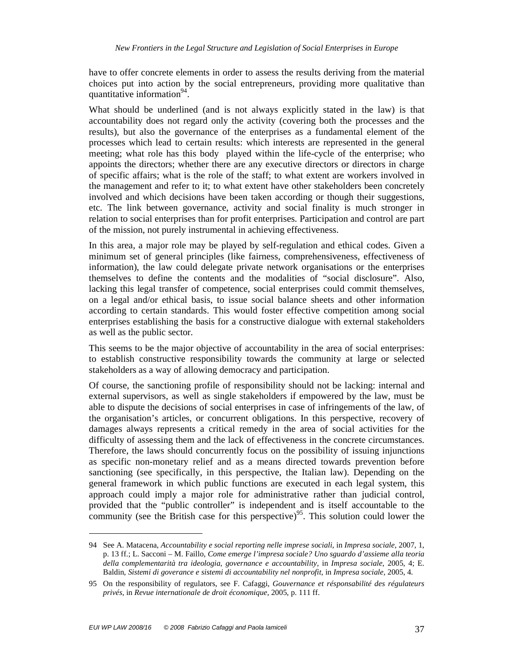have to offer concrete elements in order to assess the results deriving from the material choices put into action by the social entrepreneurs, providing more qualitative than quantitative information<sup>94</sup>.

What should be underlined (and is not always explicitly stated in the law) is that accountability does not regard only the activity (covering both the processes and the results), but also the governance of the enterprises as a fundamental element of the processes which lead to certain results: which interests are represented in the general meeting; what role has this body played within the life-cycle of the enterprise; who appoints the directors; whether there are any executive directors or directors in charge of specific affairs; what is the role of the staff; to what extent are workers involved in the management and refer to it; to what extent have other stakeholders been concretely involved and which decisions have been taken according or though their suggestions, etc. The link between governance, activity and social finality is much stronger in relation to social enterprises than for profit enterprises. Participation and control are part of the mission, not purely instrumental in achieving effectiveness.

In this area, a major role may be played by self-regulation and ethical codes. Given a minimum set of general principles (like fairness, comprehensiveness, effectiveness of information), the law could delegate private network organisations or the enterprises themselves to define the contents and the modalities of "social disclosure". Also, lacking this legal transfer of competence, social enterprises could commit themselves, on a legal and/or ethical basis, to issue social balance sheets and other information according to certain standards. This would foster effective competition among social enterprises establishing the basis for a constructive dialogue with external stakeholders as well as the public sector.

This seems to be the major objective of accountability in the area of social enterprises: to establish constructive responsibility towards the community at large or selected stakeholders as a way of allowing democracy and participation.

Of course, the sanctioning profile of responsibility should not be lacking: internal and external supervisors, as well as single stakeholders if empowered by the law, must be able to dispute the decisions of social enterprises in case of infringements of the law, of the organisation's articles, or concurrent obligations. In this perspective, recovery of damages always represents a critical remedy in the area of social activities for the difficulty of assessing them and the lack of effectiveness in the concrete circumstances. Therefore, the laws should concurrently focus on the possibility of issuing injunctions as specific non-monetary relief and as a means directed towards prevention before sanctioning (see specifically, in this perspective, the Italian law). Depending on the general framework in which public functions are executed in each legal system, this approach could imply a major role for administrative rather than judicial control, provided that the "public controller" is independent and is itself accountable to the community (see the British case for this perspective)<sup>95</sup>. This solution could lower the

<sup>94</sup> See A. Matacena, *Accountability e social reporting nelle imprese sociali*, in *Impresa sociale*, 2007, 1, p. 13 ff.; L. Sacconi – M. Faillo, *Come emerge l'impresa sociale? Uno sguardo d'assieme alla teoria della complementarità tra ideologia, governance e accountability,* in *Impresa sociale*, 2005, 4; E. Baldin, *Sistemi di goverance e sistemi di accountability nel nonprofit*, in *Impresa sociale*, 2005, 4.

<sup>95</sup> On the responsibility of regulators, see F. Cafaggi, *Gouvernance et résponsabilité des régulateurs privés*, in *Revue internationale de droit économique*, 2005, p. 111 ff.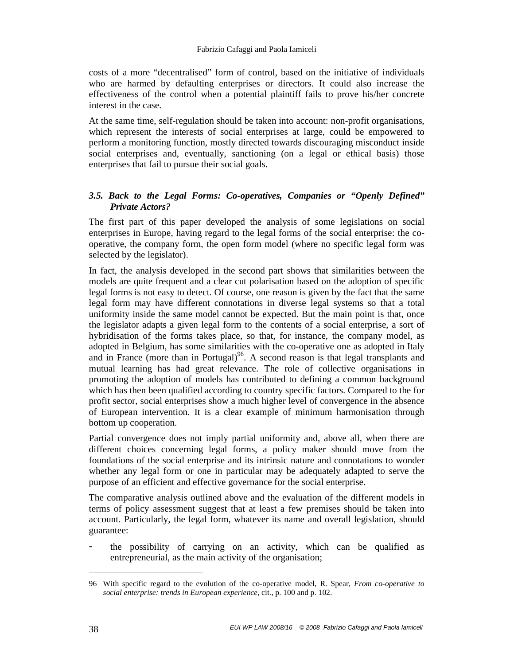costs of a more "decentralised" form of control, based on the initiative of individuals who are harmed by defaulting enterprises or directors. It could also increase the effectiveness of the control when a potential plaintiff fails to prove his/her concrete interest in the case.

At the same time, self-regulation should be taken into account: non-profit organisations, which represent the interests of social enterprises at large, could be empowered to perform a monitoring function, mostly directed towards discouraging misconduct inside social enterprises and, eventually, sanctioning (on a legal or ethical basis) those enterprises that fail to pursue their social goals.

# *3.5. Back to the Legal Forms: Co-operatives, Companies or "Openly Defined" Private Actors?*

The first part of this paper developed the analysis of some legislations on social enterprises in Europe, having regard to the legal forms of the social enterprise: the cooperative, the company form, the open form model (where no specific legal form was selected by the legislator).

In fact, the analysis developed in the second part shows that similarities between the models are quite frequent and a clear cut polarisation based on the adoption of specific legal forms is not easy to detect. Of course, one reason is given by the fact that the same legal form may have different connotations in diverse legal systems so that a total uniformity inside the same model cannot be expected. But the main point is that, once the legislator adapts a given legal form to the contents of a social enterprise, a sort of hybridisation of the forms takes place, so that, for instance, the company model, as adopted in Belgium, has some similarities with the co-operative one as adopted in Italy and in France (more than in Portugal)<sup>96</sup>. A second reason is that legal transplants and mutual learning has had great relevance. The role of collective organisations in promoting the adoption of models has contributed to defining a common background which has then been qualified according to country specific factors. Compared to the for profit sector, social enterprises show a much higher level of convergence in the absence of European intervention. It is a clear example of minimum harmonisation through bottom up cooperation.

Partial convergence does not imply partial uniformity and, above all, when there are different choices concerning legal forms, a policy maker should move from the foundations of the social enterprise and its intrinsic nature and connotations to wonder whether any legal form or one in particular may be adequately adapted to serve the purpose of an efficient and effective governance for the social enterprise.

The comparative analysis outlined above and the evaluation of the different models in terms of policy assessment suggest that at least a few premises should be taken into account. Particularly, the legal form, whatever its name and overall legislation, should guarantee:

- the possibility of carrying on an activity, which can be qualified as entrepreneurial, as the main activity of the organisation;

<sup>96</sup> With specific regard to the evolution of the co-operative model, R. Spear, *From co-operative to social enterprise: trends in European experience*, cit., p. 100 and p. 102.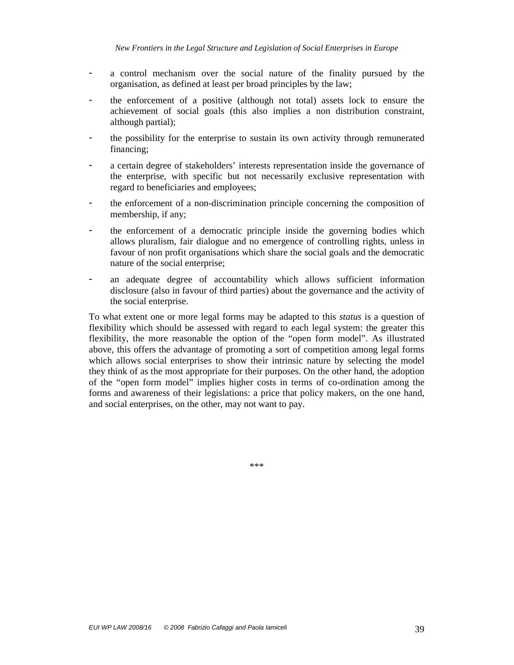- a control mechanism over the social nature of the finality pursued by the organisation, as defined at least per broad principles by the law;
- the enforcement of a positive (although not total) assets lock to ensure the achievement of social goals (this also implies a non distribution constraint, although partial);
- the possibility for the enterprise to sustain its own activity through remunerated financing;
- a certain degree of stakeholders' interests representation inside the governance of the enterprise, with specific but not necessarily exclusive representation with regard to beneficiaries and employees;
- the enforcement of a non-discrimination principle concerning the composition of membership, if any;
- the enforcement of a democratic principle inside the governing bodies which allows pluralism, fair dialogue and no emergence of controlling rights, unless in favour of non profit organisations which share the social goals and the democratic nature of the social enterprise;
- an adequate degree of accountability which allows sufficient information disclosure (also in favour of third parties) about the governance and the activity of the social enterprise.

To what extent one or more legal forms may be adapted to this *status* is a question of flexibility which should be assessed with regard to each legal system: the greater this flexibility, the more reasonable the option of the "open form model". As illustrated above, this offers the advantage of promoting a sort of competition among legal forms which allows social enterprises to show their intrinsic nature by selecting the model they think of as the most appropriate for their purposes. On the other hand, the adoption of the "open form model" implies higher costs in terms of co-ordination among the forms and awareness of their legislations: a price that policy makers, on the one hand, and social enterprises, on the other, may not want to pay.

\*\*\*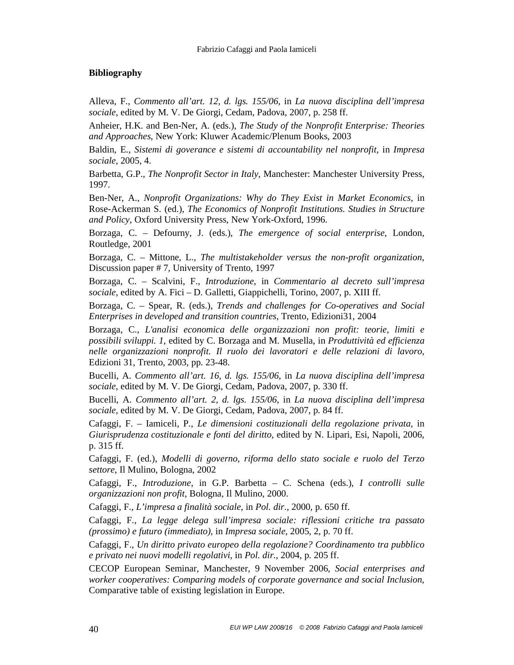# **Bibliography**

Alleva, F., *Commento all'art. 12, d. lgs. 155/06*, in *La nuova disciplina dell'impresa sociale*, edited by M. V. De Giorgi, Cedam, Padova, 2007, p. 258 ff.

Anheier, H.K. and Ben-Ner, A. (eds.), *The Study of the Nonprofit Enterprise: Theories and Approaches*, New York: Kluwer Academic/Plenum Books, 2003

Baldin, E., *Sistemi di goverance e sistemi di accountability nel nonprofit*, in *Impresa sociale*, 2005, 4.

Barbetta, G.P., *The Nonprofit Sector in Italy*, Manchester: Manchester University Press, 1997.

Ben-Ner, A., *Nonprofit Organizations: Why do They Exist in Market Economics*, in Rose-Ackerman S. (ed.), *The Economics of Nonprofit Institutions. Studies in Structure and Policy*, Oxford University Press, New York-Oxford, 1996.

Borzaga, C. – Defourny, J. (eds.), *The emergence of social enterprise*, London, Routledge, 2001

Borzaga, C. – Mittone, L., *The multistakeholder versus the non-profit organization*, Discussion paper # 7, University of Trento, 1997

Borzaga, C. – Scalvini, F., *Introduzione*, in *Commentario al decreto sull'impresa sociale*, edited by A. Fici – D. Galletti, Giappichelli, Torino, 2007, p. XIII ff.

Borzaga, C. – Spear, R. (eds.), *Trends and challenges for Co-operatives and Social Enterprises in developed and transition countries*, Trento, Edizioni31, 2004

Borzaga, C., *L'analisi economica delle organizzazioni non profit: teorie, limiti e possibili sviluppi. 1*, edited by C. Borzaga and M. Musella, in *Produttività ed efficienza nelle organizzazioni nonprofit. Il ruolo dei lavoratori e delle relazioni di lavoro*, Edizioni 31, Trento, 2003, pp. 23-48.

Bucelli, A. *Commento all'art. 16, d. lgs. 155/06*, in *La nuova disciplina dell'impresa sociale*, edited by M. V. De Giorgi, Cedam, Padova, 2007, p. 330 ff.

Bucelli, A. *Commento all'art. 2, d. lgs. 155/06*, in *La nuova disciplina dell'impresa sociale*, edited by M. V. De Giorgi, Cedam, Padova, 2007, p. 84 ff.

Cafaggi, F. – Iamiceli, P., *Le dimensioni costituzionali della regolazione privata*, in *Giurisprudenza costituzionale e fonti del diritto*, edited by N. Lipari, Esi, Napoli, 2006, p. 315 ff.

Cafaggi, F. (ed.), *Modelli di governo, riforma dello stato sociale e ruolo del Terzo settore*, Il Mulino, Bologna, 2002

Cafaggi, F., *Introduzione*, in G.P. Barbetta – C. Schena (eds.), *I controlli sulle organizzazioni non profit*, Bologna, Il Mulino, 2000.

Cafaggi, F., *L'impresa a finalità sociale*, in *Pol. dir.*, 2000, p. 650 ff.

Cafaggi, F., *La legge delega sull'impresa sociale: riflessioni critiche tra passato (prossimo) e futuro (immediato)*, in *Impresa sociale*, 2005, 2, p. 70 ff.

Cafaggi, F., *Un diritto privato europeo della regolazione? Coordinamento tra pubblico e privato nei nuovi modelli regolativi*, in *Pol. dir.*, 2004, p. 205 ff.

CECOP European Seminar, Manchester, 9 November 2006, *Social enterprises and worker cooperatives: Comparing models of corporate governance and social Inclusion*, Comparative table of existing legislation in Europe.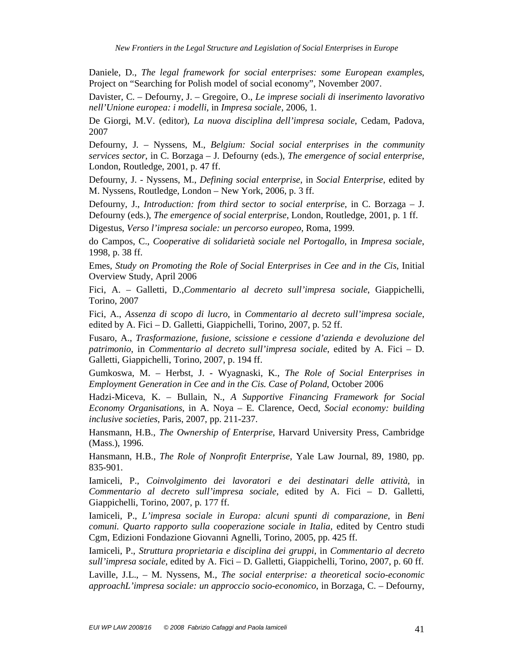Daniele, D., *The legal framework for social enterprises: some European examples*, Project on "Searching for Polish model of social economy", November 2007.

Davister, C. – Defourny, J. – Gregoire, O., *Le imprese sociali di inserimento lavorativo nell'Unione europea: i modelli*, in *Impresa sociale*, 2006, 1.

De Giorgi, M.V. (editor), *La nuova disciplina dell'impresa sociale*, Cedam, Padova, 2007

Defourny, J. – Nyssens, M., *Belgium: Social social enterprises in the community services sector*, in C. Borzaga – J. Defourny (eds.), *The emergence of social enterprise*, London, Routledge, 2001, p. 47 ff.

Defourny, J. - Nyssens, M., *Defining social enterprise*, in *Social Enterprise*, edited by M. Nyssens, Routledge, London – New York, 2006, p. 3 ff.

Defourny, J., *Introduction: from third sector to social enterprise*, in C. Borzaga – J. Defourny (eds.), *The emergence of social enterprise*, London, Routledge, 2001, p. 1 ff.

Digestus, *Verso l'impresa sociale: un percorso europeo*, Roma, 1999.

do Campos, C., *Cooperative di solidarietà sociale nel Portogallo*, in *Impresa sociale*, 1998, p. 38 ff.

Emes, *Study on Promoting the Role of Social Enterprises in Cee and in the Cis*, Initial Overview Study, April 2006

Fici, A. – Galletti, D.,*Commentario al decreto sull'impresa sociale*, Giappichelli, Torino, 2007

Fici, A., *Assenza di scopo di lucro*, in *Commentario al decreto sull'impresa sociale*, edited by A. Fici – D. Galletti, Giappichelli, Torino, 2007, p. 52 ff.

Fusaro, A., *Trasformazione, fusione, scissione e cessione d'azienda e devoluzione del patrimonio*, in *Commentario al decreto sull'impresa sociale*, edited by A. Fici – D. Galletti, Giappichelli, Torino, 2007, p. 194 ff.

Gumkoswa, M. – Herbst, J. - Wyagnaski, K., *The Role of Social Enterprises in Employment Generation in Cee and in the Cis. Case of Poland*, October 2006

Hadzi-Miceva, K. – Bullain, N., *A Supportive Financing Framework for Social Economy Organisations*, in A. Noya – E. Clarence, Oecd, *Social economy: building inclusive societies*, Paris, 2007, pp. 211-237.

Hansmann, H.B., *The Ownership of Enterprise*, Harvard University Press, Cambridge (Mass.), 1996.

Hansmann, H.B., *The Role of Nonprofit Enterprise*, Yale Law Journal, 89, 1980, pp. 835-901.

Iamiceli, P., *Coinvolgimento dei lavoratori e dei destinatari delle attività*, in *Commentario al decreto sull'impresa sociale*, edited by A. Fici – D. Galletti, Giappichelli, Torino, 2007, p. 177 ff.

Iamiceli, P., *L'impresa sociale in Europa: alcuni spunti di comparazione*, in *Beni comuni. Quarto rapporto sulla cooperazione sociale in Italia*, edited by Centro studi Cgm, Edizioni Fondazione Giovanni Agnelli, Torino, 2005, pp. 425 ff.

Iamiceli, P., *Struttura proprietaria e disciplina dei gruppi*, in *Commentario al decreto sull'impresa sociale*, edited by A. Fici – D. Galletti, Giappichelli, Torino, 2007, p. 60 ff.

Laville, J.L., – M. Nyssens*,* M., *The social enterprise: a theoretical socio-economic approachL'impresa sociale: un approccio socio-economico*, in Borzaga, C. – Defourny,